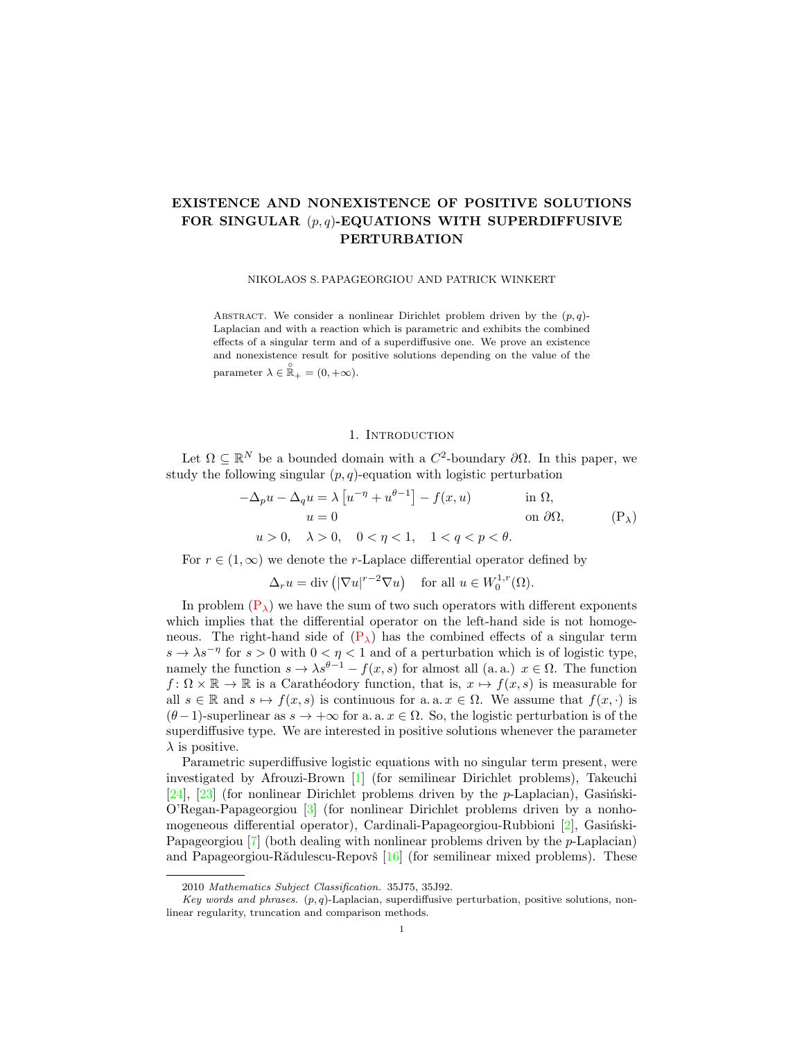# EXISTENCE AND NONEXISTENCE OF POSITIVE SOLUTIONS FOR SINGULAR  $(p, q)$ -EQUATIONS WITH SUPERDIFFUSIVE PERTURBATION

#### NIKOLAOS S. PAPAGEORGIOU AND PATRICK WINKERT

ABSTRACT. We consider a nonlinear Dirichlet problem driven by the  $(p, q)$ -Laplacian and with a reaction which is parametric and exhibits the combined effects of a singular term and of a superdiffusive one. We prove an existence and nonexistence result for positive solutions depending on the value of the parameter  $\lambda \in \mathbb{R}_+ = (0, +\infty)$ .

### <span id="page-0-0"></span>1. INTRODUCTION

Let  $\Omega \subseteq \mathbb{R}^N$  be a bounded domain with a  $C^2$ -boundary  $\partial\Omega$ . In this paper, we study the following singular  $(p, q)$ -equation with logistic perturbation

$$
-\Delta_p u - \Delta_q u = \lambda \left[ u^{-\eta} + u^{\theta - 1} \right] - f(x, u) \quad \text{in } \Omega,
$$
  
\n
$$
u = 0 \quad \text{on } \partial\Omega,
$$
  
\n
$$
u > 0, \quad \lambda > 0, \quad 0 < \eta < 1, \quad 1 < q < p < \theta.
$$
 (P<sub>\lambda</sub>)

For  $r \in (1,\infty)$  we denote the r-Laplace differential operator defined by

$$
\Delta_r u = \text{div}\left(|\nabla u|^{r-2} \nabla u\right) \quad \text{for all } u \in W_0^{1,r}(\Omega).
$$

In problem  $(P_{\lambda})$  $(P_{\lambda})$  we have the sum of two such operators with different exponents which implies that the differential operator on the left-hand side is not homogeneous. The right-hand side of  $(P_{\lambda})$  $(P_{\lambda})$  has the combined effects of a singular term  $s \to \lambda s^{-\eta}$  for  $s > 0$  with  $0 < \eta < 1$  and of a perturbation which is of logistic type, namely the function  $s \to \lambda s^{\theta-1} - f(x, s)$  for almost all  $(a, a)$ ,  $x \in \Omega$ . The function  $f: \Omega \times \mathbb{R} \to \mathbb{R}$  is a Carathéodory function, that is,  $x \mapsto f(x, s)$  is measurable for all  $s \in \mathbb{R}$  and  $s \mapsto f(x, s)$  is continuous for a. a.  $x \in \Omega$ . We assume that  $f(x, \cdot)$  is  $(\theta-1)$ -superlinear as  $s \to +\infty$  for a. a.  $x \in \Omega$ . So, the logistic perturbation is of the superdiffusive type. We are interested in positive solutions whenever the parameter  $\lambda$  is positive.

Parametric superdiffusive logistic equations with no singular term present, were investigated by Afrouzi-Brown [\[1\]](#page-15-0) (for semilinear Dirichlet problems), Takeuchi [\[24\]](#page-15-1), [\[23\]](#page-15-2) (for nonlinear Dirichlet problems driven by the  $p$ -Laplacian), Gasinski-O'Regan-Papageorgiou [\[3\]](#page-15-3) (for nonlinear Dirichlet problems driven by a nonhomogeneous differential operator), Cardinali-Papageorgiou-Rubbioni  $[2]$ , Gasiński-Papageorgiou [\[7\]](#page-15-5) (both dealing with nonlinear problems driven by the *p*-Laplacian) and Papageorgiou-R $\ddot{\text{add}}$ lescu-Repov $\ddot{\text{s}}$  [\[16\]](#page-15-6) (for semilinear mixed problems). These

<sup>2010</sup> Mathematics Subject Classification. 35J75, 35J92.

Key words and phrases.  $(p, q)$ -Laplacian, superdiffusive perturbation, positive solutions, nonlinear regularity, truncation and comparison methods.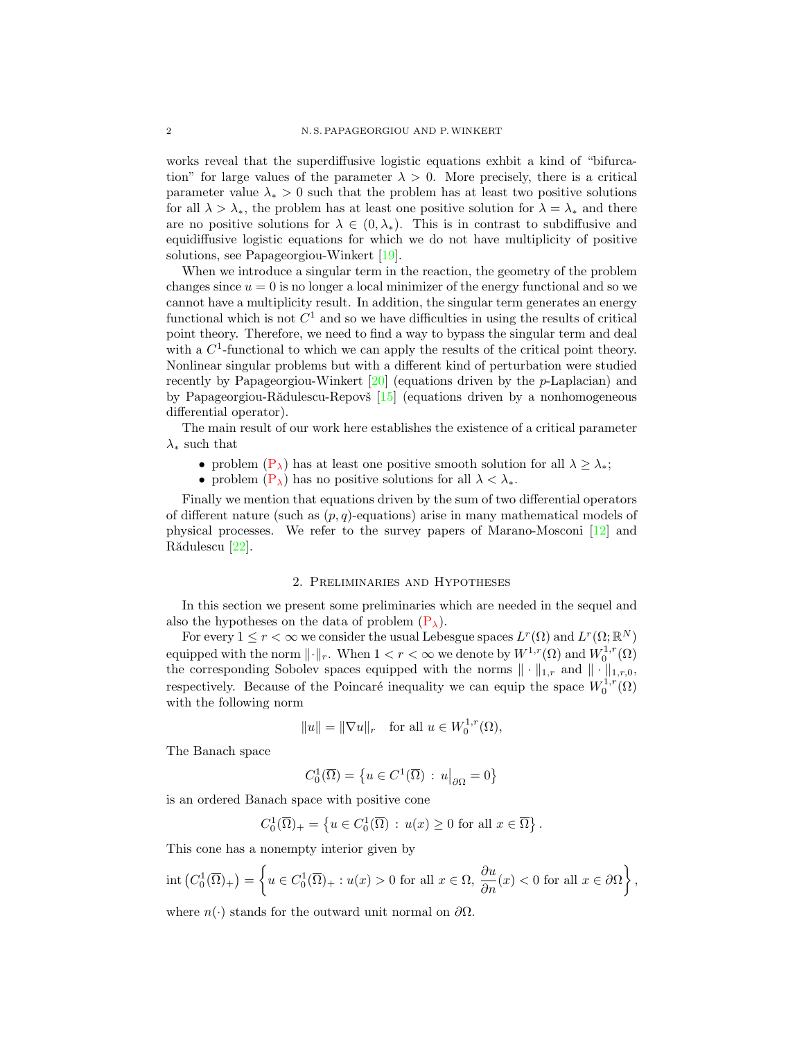works reveal that the superdiffusive logistic equations exhbit a kind of "bifurcation" for large values of the parameter  $\lambda > 0$ . More precisely, there is a critical parameter value  $\lambda_* > 0$  such that the problem has at least two positive solutions for all  $\lambda > \lambda_*$ , the problem has at least one positive solution for  $\lambda = \lambda_*$  and there are no positive solutions for  $\lambda \in (0, \lambda_*)$ . This is in contrast to subdiffusive and equidiffusive logistic equations for which we do not have multiplicity of positive solutions, see Papageorgiou-Winkert [\[19\]](#page-15-7).

When we introduce a singular term in the reaction, the geometry of the problem changes since  $u = 0$  is no longer a local minimizer of the energy functional and so we cannot have a multiplicity result. In addition, the singular term generates an energy functional which is not  $C^1$  and so we have difficulties in using the results of critical point theory. Therefore, we need to find a way to bypass the singular term and deal with a  $C<sup>1</sup>$ -functional to which we can apply the results of the critical point theory. Nonlinear singular problems but with a different kind of perturbation were studied recently by Papageorgiou-Winkert [\[20\]](#page-15-8) (equations driven by the p-Laplacian) and by Papageorgiou-Rădulescu-Repovš  $[15]$  (equations driven by a nonhomogeneous differential operator).

The main result of our work here establishes the existence of a critical parameter  $\lambda_*$  such that

- problem  $(P_{\lambda})$  $(P_{\lambda})$  has at least one positive smooth solution for all  $\lambda > \lambda_*$ ;
- problem  $(P_{\lambda})$  $(P_{\lambda})$  has no positive solutions for all  $\lambda < \lambda_*$ .

Finally we mention that equations driven by the sum of two differential operators of different nature (such as  $(p, q)$ -equations) arise in many mathematical models of physical processes. We refer to the survey papers of Marano-Mosconi [\[12\]](#page-15-10) and Rădulescu [\[22\]](#page-15-11).

#### 2. Preliminaries and Hypotheses

<span id="page-1-0"></span>In this section we present some preliminaries which are needed in the sequel and also the hypotheses on the data of problem  $(P_{\lambda})$  $(P_{\lambda})$ .

For every  $1 \leq r < \infty$  we consider the usual Lebesgue spaces  $L^r(\Omega)$  and  $L^r(\Omega;\mathbb{R}^N)$ equipped with the norm  $\lVert \cdot \rVert_r$ . When  $1 < r < \infty$  we denote by  $W^{1,r}(\Omega)$  and  $W^{1,r}_0(\Omega)$ the corresponding Sobolev spaces equipped with the norms  $\|\cdot\|_{1,r}$  and  $\|\cdot\|_{1,r,0}$ , respectively. Because of the Poincaré inequality we can equip the space  $W_0^{1,r}(\Omega)$ with the following norm

$$
||u|| = ||\nabla u||_r \quad \text{for all } u \in W_0^{1,r}(\Omega),
$$

The Banach space

$$
C_0^1(\overline{\Omega}) = \left\{ u \in C^1(\overline{\Omega}) : u \middle|_{\partial \Omega} = 0 \right\}
$$

is an ordered Banach space with positive cone

$$
C_0^1(\overline{\Omega})_+ = \left\{ u \in C_0^1(\overline{\Omega}) : u(x) \ge 0 \text{ for all } x \in \overline{\Omega} \right\}.
$$

This cone has a nonempty interior given by

$$
\operatorname{int}\left(C_0^1(\overline{\Omega})_+\right) = \left\{ u \in C_0^1(\overline{\Omega})_+ : u(x) > 0 \text{ for all } x \in \Omega, \frac{\partial u}{\partial n}(x) < 0 \text{ for all } x \in \partial\Omega \right\},\
$$

where  $n(\cdot)$  stands for the outward unit normal on  $\partial\Omega$ .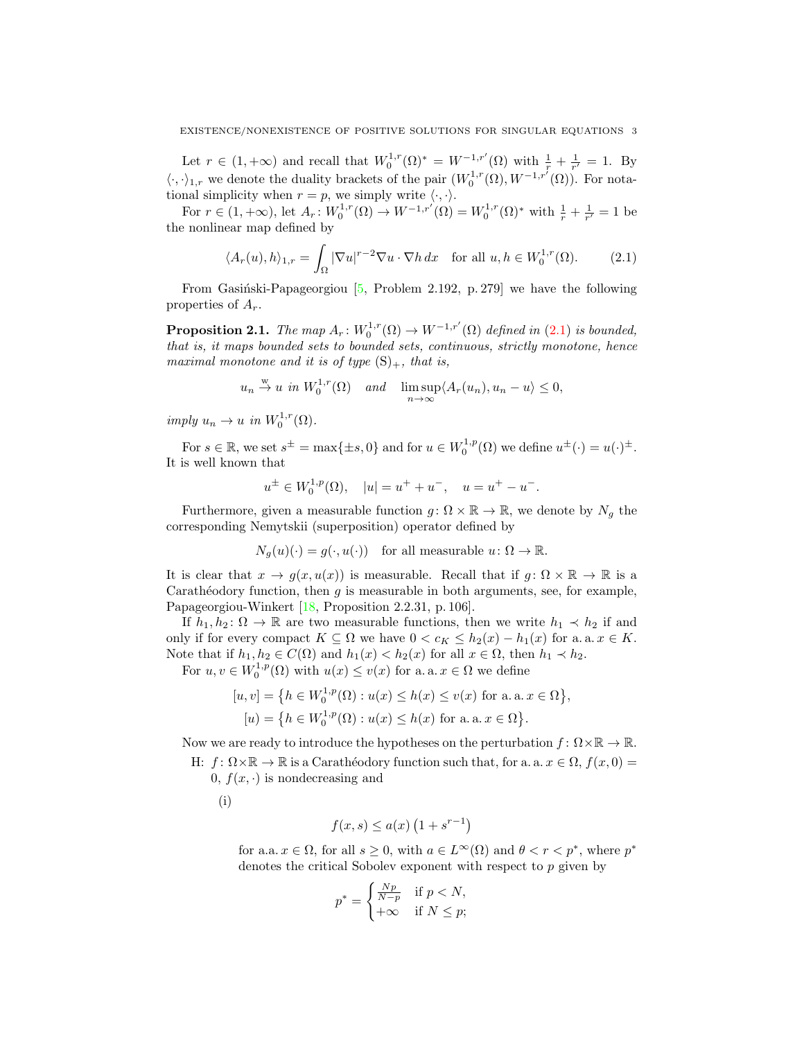Let  $r \in (1, +\infty)$  and recall that  $W_0^{1,r}(\Omega)^* = W^{-1,r'}(\Omega)$  with  $\frac{1}{r} + \frac{1}{r'} = 1$ . By  $\langle \cdot, \cdot \rangle_{1,r}$  we denote the duality brackets of the pair  $(W_0^{1,r}(\Omega), W^{-1,r'}(\Omega))$ . For notational simplicity when  $r = p$ , we simply write  $\langle \cdot, \cdot \rangle$ .

For  $r \in (1, +\infty)$ , let  $A_r: W_0^{1,r}(\Omega) \to W^{-1,r'}(\Omega) = W_0^{1,r}(\Omega)^*$  with  $\frac{1}{r} + \frac{1}{r'} = 1$  be the nonlinear map defined by

<span id="page-2-0"></span>
$$
\langle A_r(u), h \rangle_{1,r} = \int_{\Omega} |\nabla u|^{r-2} \nabla u \cdot \nabla h \, dx \quad \text{for all } u, h \in W_0^{1,r}(\Omega). \tag{2.1}
$$

From Gasiński-Papageorgiou  $[5, \text{Problem } 2.192, \text{ p. } 279]$  $[5, \text{Problem } 2.192, \text{ p. } 279]$  we have the following properties of  $A_r$ .

<span id="page-2-1"></span>**Proposition 2.1.** The map  $A_r: W_0^{1,r}(\Omega) \to W^{-1,r'}(\Omega)$  defined in [\(2.1\)](#page-2-0) is bounded, that is, it maps bounded sets to bounded sets, continuous, strictly monotone, hence maximal monotone and it is of type  $(S)_+$ , that is,

$$
u_n \stackrel{w}{\to} u
$$
 in  $W_0^{1,r}(\Omega)$  and  $\lim_{n \to \infty} \sup \langle A_r(u_n), u_n - u \rangle \leq 0$ ,

imply  $u_n \to u$  in  $W_0^{1,r}(\Omega)$ .

For  $s \in \mathbb{R}$ , we set  $s^{\pm} = \max\{\pm s, 0\}$  and for  $u \in W_0^{1,p}(\Omega)$  we define  $u^{\pm}(\cdot) = u(\cdot)^{\pm}$ . It is well known that

$$
u^{\pm} \in W_0^{1,p}(\Omega), \quad |u| = u^+ + u^-, \quad u = u^+ - u^-.
$$

Furthermore, given a measurable function  $g: \Omega \times \mathbb{R} \to \mathbb{R}$ , we denote by  $N_g$  the corresponding Nemytskii (superposition) operator defined by

$$
N_g(u)(\cdot) = g(\cdot, u(\cdot))
$$
 for all measurable  $u \colon \Omega \to \mathbb{R}$ .

It is clear that  $x \to g(x, u(x))$  is measurable. Recall that if  $q: \Omega \times \mathbb{R} \to \mathbb{R}$  is a Carathéodory function, then  $g$  is measurable in both arguments, see, for example, Papageorgiou-Winkert [\[18,](#page-15-13) Proposition 2.2.31, p. 106].

If  $h_1, h_2 : \Omega \to \mathbb{R}$  are two measurable functions, then we write  $h_1 \prec h_2$  if and only if for every compact  $K \subseteq \Omega$  we have  $0 < c_K \leq h_2(x) - h_1(x)$  for a. a.  $x \in K$ . Note that if  $h_1, h_2 \in C(\Omega)$  and  $h_1(x) < h_2(x)$  for all  $x \in \Omega$ , then  $h_1 \prec h_2$ .

For  $u, v \in W_0^{1,p}(\Omega)$  with  $u(x) \le v(x)$  for a. a.  $x \in \Omega$  we define

$$
[u, v] = \{ h \in W_0^{1, p}(\Omega) : u(x) \le h(x) \le v(x) \text{ for a. a. } x \in \Omega \},
$$
  

$$
[u] = \{ h \in W_0^{1, p}(\Omega) : u(x) \le h(x) \text{ for a. a. } x \in \Omega \}.
$$

Now we are ready to introduce the hypotheses on the perturbation  $f: \Omega \times \mathbb{R} \to \mathbb{R}$ .

H:  $f: \Omega \times \mathbb{R} \to \mathbb{R}$  is a Carathéodory function such that, for a. a.  $x \in \Omega$ ,  $f(x, 0) =$ 0,  $f(x, \cdot)$  is nondecreasing and

(i)

$$
f(x,s) \le a(x) \left(1 + s^{r-1}\right)
$$

for a.a.  $x \in \Omega$ , for all  $s \geq 0$ , with  $a \in L^{\infty}(\Omega)$  and  $\theta < r < p^*$ , where  $p^*$ denotes the critical Sobolev exponent with respect to p given by

$$
p^* = \begin{cases} \frac{Np}{N-p} & \text{if } p < N, \\ +\infty & \text{if } N \le p; \end{cases}
$$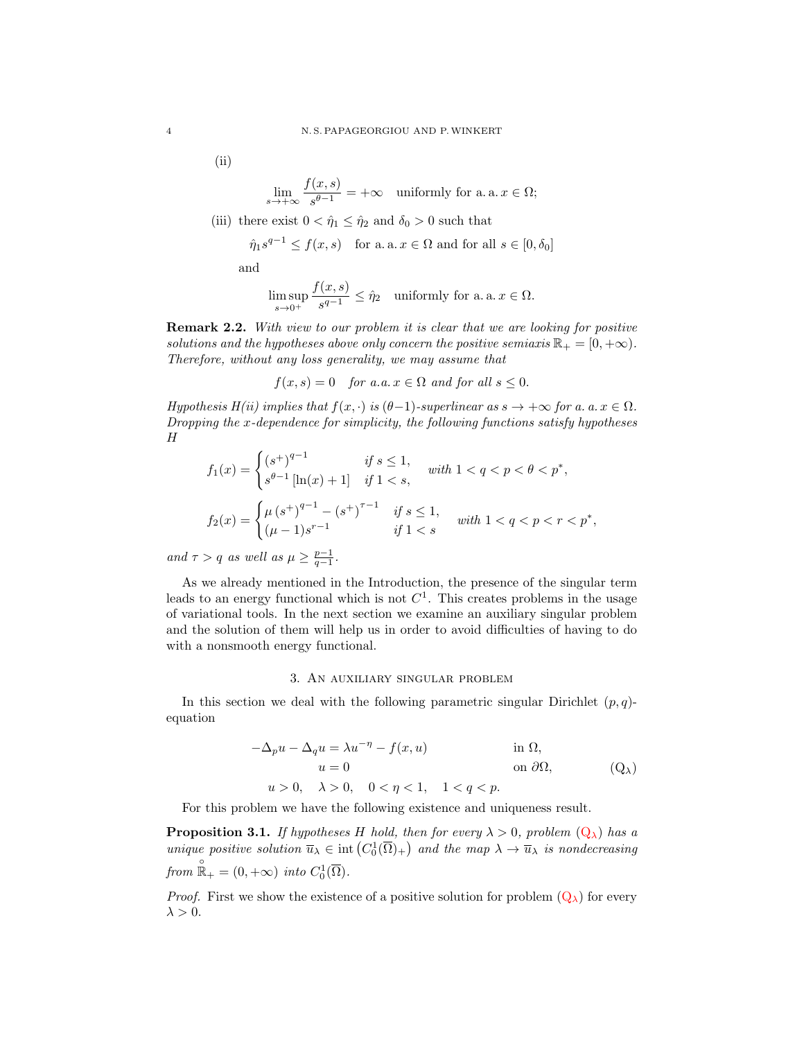$(ii)$ 

$$
\lim_{s \to +\infty} \frac{f(x, s)}{s^{\theta - 1}} = +\infty \quad \text{uniformly for a. a. } x \in \Omega;
$$

(iii) there exist  $0 < \hat{\eta}_1 \leq \hat{\eta}_2$  and  $\delta_0 > 0$  such that

$$
\hat{\eta}_1 s^{q-1} \le f(x, s)
$$
 for a. a.  $x \in \Omega$  and for all  $s \in [0, \delta_0]$ 

and

$$
\limsup_{s \to 0^+} \frac{f(x,s)}{s^{q-1}} \le \hat{\eta}_2 \quad \text{uniformly for a. a. } x \in \Omega.
$$

**Remark 2.2.** With view to our problem it is clear that we are looking for positive solutions and the hypotheses above only concern the positive semiaxis  $\mathbb{R}_+ = [0, +\infty)$ . Therefore, without any loss generality, we may assume that

$$
f(x,s) = 0 \quad \text{for a.a. } x \in \Omega \text{ and for all } s \le 0.
$$

Hypothesis H(ii) implies that  $f(x, \cdot)$  is  $(\theta - 1)$ -superlinear as  $s \to +\infty$  for a. a.  $x \in \Omega$ . Dropping the  $x$ -dependence for simplicity, the following functions satisfy hypotheses  $\boldsymbol{H}$ 

$$
f_1(x) = \begin{cases} (s^+)^{q-1} & \text{if } s \le 1, \\ s^{\theta-1} \left[ \ln(x) + 1 \right] & \text{if } 1 < s, \end{cases} \quad \text{with } 1 < q < p < \theta < p^*,
$$
\n
$$
f_2(x) = \begin{cases} \mu \left( s^+ \right)^{q-1} - \left( s^+ \right)^{\tau-1} & \text{if } s \le 1, \\ (\mu - 1)s^{r-1} & \text{if } 1 < s \end{cases} \quad \text{with } 1 < q < p < r < p^*,
$$

and  $\tau > q$  as well as  $\mu \geq \frac{p-1}{q-1}$ .

As we already mentioned in the Introduction, the presence of the singular term leads to an energy functional which is not  $C<sup>1</sup>$ . This creates problems in the usage of variational tools. In the next section we examine an auxiliary singular problem and the solution of them will help us in order to avoid difficulties of having to do with a nonsmooth energy functional.

# <span id="page-3-0"></span>3. An auxiliary singular problem

In this section we deal with the following parametric singular Dirichlet  $(p, q)$ equation

<span id="page-3-1"></span>
$$
-\Delta_p u - \Delta_q u = \lambda u^{-\eta} - f(x, u)
$$
in  $\Omega$ ,  
\n
$$
u = 0
$$
on  $\partial\Omega$ ,  
\n
$$
u > 0, \quad \lambda > 0, \quad 0 < \eta < 1, \quad 1 < q < p.
$$
 (Q<sub>\lambda</sub>)

For this problem we have the following existence and uniqueness result.

<span id="page-3-2"></span>**Proposition 3.1.** If hypotheses H hold, then for every  $\lambda > 0$ , problem  $(Q_{\lambda})$  $(Q_{\lambda})$  has a unique positive solution  $\overline{u}_{\lambda} \in \text{int}\left(C_0^1(\overline{\Omega})_+\right)$  and the map  $\lambda \to \overline{u}_{\lambda}$  is nondecreasing from  $\mathbb{R}_{+}^{\circ} = (0, +\infty)$  into  $C_0^1(\overline{\Omega})$ .

*Proof.* First we show the existence of a positive solution for problem  $(Q_{\lambda})$  $(Q_{\lambda})$  for every  $\lambda > 0$ .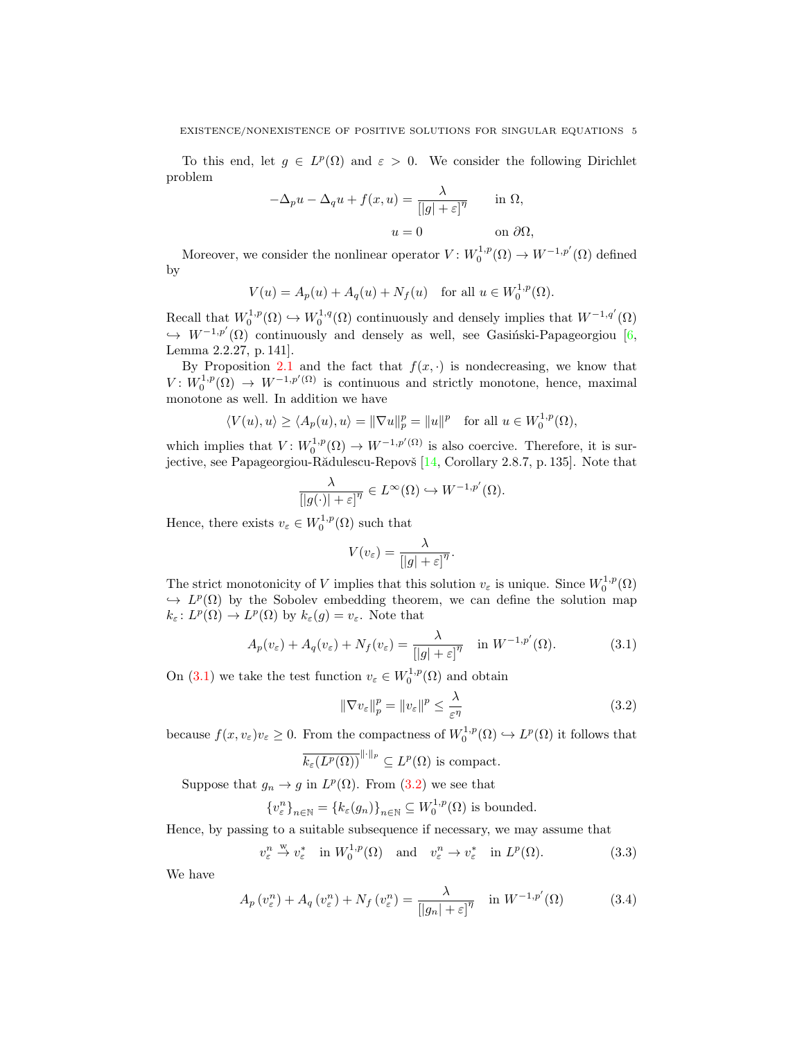To this end, let  $g \in L^p(\Omega)$  and  $\varepsilon > 0$ . We consider the following Dirichlet problem

$$
-\Delta_p u - \Delta_q u + f(x, u) = \frac{\lambda}{[|g| + \varepsilon]^{\eta}} \quad \text{in } \Omega,
$$
  

$$
u = 0 \quad \text{on } \partial\Omega,
$$

Moreover, we consider the nonlinear operator  $V: W_0^{1,p}(\Omega) \to W^{-1,p'}(\Omega)$  defined by

$$
V(u) = A_p(u) + A_q(u) + N_f(u) \text{ for all } u \in W_0^{1,p}(\Omega).
$$

Recall that  $W_0^{1,p}(\Omega) \hookrightarrow W_0^{1,q}(\Omega)$  continuously and densely implies that  $W^{-1,q'}(\Omega)$  $\hookrightarrow$   $W^{-1,p'}(\Omega)$  continuously and densely as well, see Gasinski-Papageorgiou [\[6,](#page-15-14) Lemma 2.2.27, p. 141].

By Proposition [2.1](#page-2-1) and the fact that  $f(x, \cdot)$  is nondecreasing, we know that  $V: W_0^{1,p}(\Omega) \to W^{-1,p'(\Omega)}$  is continuous and strictly monotone, hence, maximal monotone as well. In addition we have

$$
\langle V(u), u \rangle \ge \langle A_p(u), u \rangle = \|\nabla u\|_p^p = \|u\|^p \quad \text{for all } u \in W_0^{1,p}(\Omega),
$$

which implies that  $V: W_0^{1,p}(\Omega) \to W^{-1,p'(\Omega)}$  is also coercive. Therefore, it is sur-jective, see Papageorgiou-Rădulescu-Repovš [\[14,](#page-15-15) Corollary 2.8.7, p. 135]. Note that

$$
\frac{\lambda}{\left[|g(\cdot)|+\varepsilon\right]^\eta} \in L^\infty(\Omega) \hookrightarrow W^{-1,p'}(\Omega).
$$

Hence, there exists  $v_{\varepsilon} \in W_0^{1,p}(\Omega)$  such that

$$
V(v_{\varepsilon}) = \frac{\lambda}{[|g| + \varepsilon]^{\eta}}.
$$

The strict monotonicity of V implies that this solution  $v_{\varepsilon}$  is unique. Since  $W_0^{1,p}(\Omega)$  $\hookrightarrow L^p(\Omega)$  by the Sobolev embedding theorem, we can define the solution map  $k_{\varepsilon}$ :  $L^p(\Omega) \to L^p(\Omega)$  by  $k_{\varepsilon}(g) = v_{\varepsilon}$ . Note that

$$
A_p(v_\varepsilon) + A_q(v_\varepsilon) + N_f(v_\varepsilon) = \frac{\lambda}{[|g| + \varepsilon]^{\eta}} \quad \text{in } W^{-1,p'}(\Omega). \tag{3.1}
$$

On [\(3.1\)](#page-3-1) we take the test function  $v_{\varepsilon} \in W_0^{1,p}(\Omega)$  and obtain

<span id="page-4-2"></span><span id="page-4-1"></span><span id="page-4-0"></span>
$$
\|\nabla v_{\varepsilon}\|_{p}^{p} = \|v_{\varepsilon}\|^{p} \le \frac{\lambda}{\varepsilon^{\eta}}
$$
\n(3.2)

because  $f(x, v_{\varepsilon})v_{\varepsilon} \geq 0$ . From the compactness of  $W_0^{1,p}(\Omega) \hookrightarrow L^p(\Omega)$  it follows that

$$
\overline{k_{\varepsilon}(L^p(\Omega))}^{\|\cdot\|_p} \subseteq L^p(\Omega)
$$
 is compact.

Suppose that  $g_n \to g$  in  $L^p(\Omega)$ . From [\(3.2\)](#page-4-0) we see that

$$
\{v_{\varepsilon}^n\}_{n\in\mathbb{N}} = \{k_{\varepsilon}(g_n)\}_{n\in\mathbb{N}} \subseteq W_0^{1,p}(\Omega)
$$
 is bounded.

Hence, by passing to a suitable subsequence if necessary, we may assume that

$$
v_{\varepsilon}^{n} \stackrel{\text{w}}{\to} v_{\varepsilon}^{*} \quad \text{in } W_{0}^{1,p}(\Omega) \quad \text{and} \quad v_{\varepsilon}^{n} \to v_{\varepsilon}^{*} \quad \text{in } L^{p}(\Omega). \tag{3.3}
$$

We have

$$
A_p(v_\varepsilon^n) + A_q(v_\varepsilon^n) + N_f(v_\varepsilon^n) = \frac{\lambda}{[|g_n| + \varepsilon]^{\eta}} \quad \text{in } W^{-1,p'}(\Omega) \tag{3.4}
$$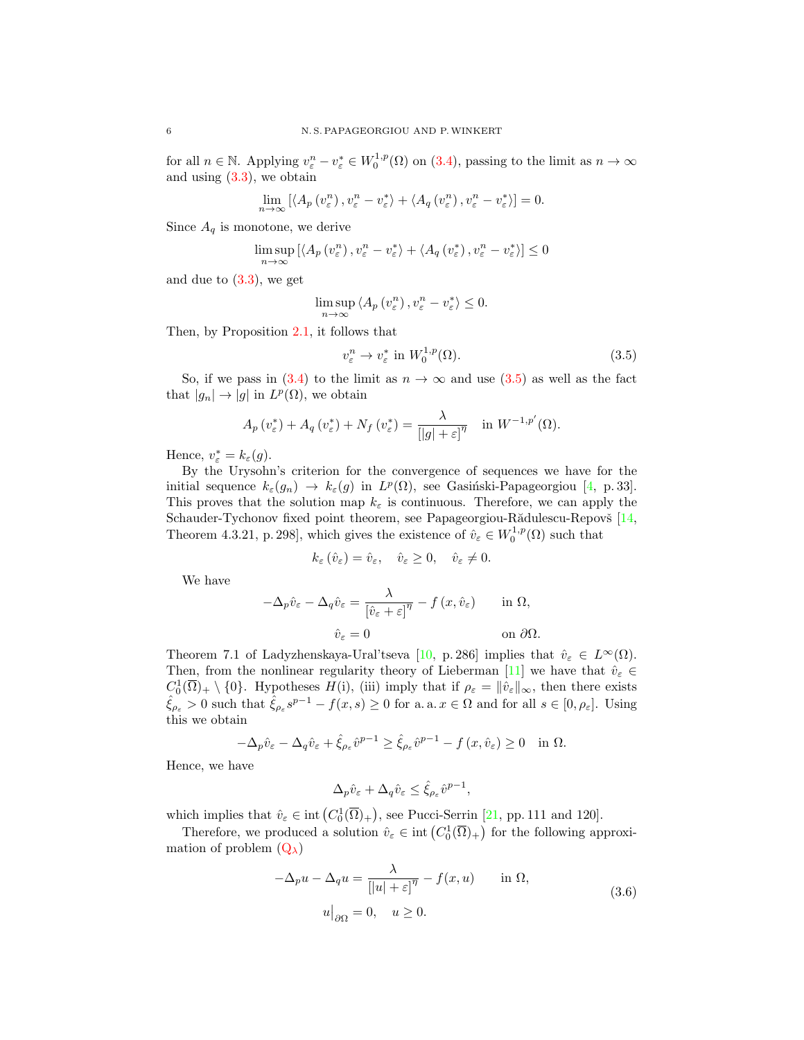for all  $n \in \mathbb{N}$ . Applying  $v_{\varepsilon}^n - v_{\varepsilon}^* \in W_0^{1,p}(\Omega)$  on  $(3.4)$ , passing to the limit as  $n \to \infty$ and using  $(3.3)$ , we obtain

$$
\lim_{n \to \infty} \left[ \langle A_p(v_\varepsilon^n), v_\varepsilon^n - v_\varepsilon^* \rangle + \langle A_q(v_\varepsilon^n), v_\varepsilon^n - v_\varepsilon^* \rangle \right] = 0.
$$

Since  $A_q$  is monotone, we derive

$$
\limsup_{n \to \infty} \left[ \langle A_p(v_\varepsilon^n), v_\varepsilon^n - v_\varepsilon^* \rangle + \langle A_q(v_\varepsilon^*), v_\varepsilon^n - v_\varepsilon^* \rangle \right] \le 0
$$

and due to  $(3.3)$ , we get

$$
\limsup_{n \to \infty} \langle A_p(v^n_{\varepsilon}), v^n_{\varepsilon} - v^*_{\varepsilon} \rangle \le 0.
$$

Then, by Proposition [2.1,](#page-2-1) it follows that

<span id="page-5-0"></span>
$$
v_{\varepsilon}^{n} \to v_{\varepsilon}^{*} \text{ in } W_{0}^{1,p}(\Omega). \tag{3.5}
$$

So, if we pass in [\(3.4\)](#page-4-1) to the limit as  $n \to \infty$  and use [\(3.5\)](#page-5-0) as well as the fact that  $|g_n| \to |g|$  in  $L^p(\Omega)$ , we obtain

$$
A_p(v^*_{\varepsilon}) + A_q(v^*_{\varepsilon}) + N_f(v^*_{\varepsilon}) = \frac{\lambda}{[|g| + \varepsilon]^{\eta}} \quad \text{in } W^{-1,p'}(\Omega).
$$

Hence,  $v_{\varepsilon}^* = k_{\varepsilon}(g)$ .

By the Urysohn's criterion for the convergence of sequences we have for the initial sequence  $k_{\varepsilon}(g_n) \to k_{\varepsilon}(g)$  in  $L^p(\Omega)$ , see Gasiński-Papageorgiou [\[4,](#page-15-16) p. 33]. This proves that the solution map  $k_{\varepsilon}$  is continuous. Therefore, we can apply the Schauder-Tychonov fixed point theorem, see Papageorgiou-Rădulescu-Repovš [\[14,](#page-15-15) Theorem 4.3.21, p. 298], which gives the existence of  $\hat{v}_{\varepsilon} \in W_0^{1,p}(\Omega)$  such that

$$
k_{\varepsilon}(\hat{v}_{\varepsilon}) = \hat{v}_{\varepsilon}, \quad \hat{v}_{\varepsilon} \ge 0, \quad \hat{v}_{\varepsilon} \ne 0.
$$

We have

$$
-\Delta_p \hat{v}_{\varepsilon} - \Delta_q \hat{v}_{\varepsilon} = \frac{\lambda}{\left[\hat{v}_{\varepsilon} + \varepsilon\right]^{\eta}} - f(x, \hat{v}_{\varepsilon}) \quad \text{in } \Omega,
$$
  

$$
\hat{v}_{\varepsilon} = 0 \quad \text{on } \partial\Omega.
$$

Theorem 7.1 of Ladyzhenskaya-Ural'tseva [\[10,](#page-15-17) p. 286] implies that  $\hat{v}_{\varepsilon} \in L^{\infty}(\Omega)$ . Then, from the nonlinear regularity theory of Lieberman [\[11\]](#page-15-18) we have that  $\hat{v}_{\varepsilon} \in$  $C_0^1(\overline{\Omega})_+ \setminus \{0\}$ . Hypotheses  $H(i)$ , (iii) imply that if  $\rho_{\varepsilon} = ||\hat{v}_{\varepsilon}||_{\infty}$ , then there exists  $\hat{\xi}_{\rho_{\varepsilon}} > 0$  such that  $\hat{\xi}_{\rho_{\varepsilon}} s^{p-1} - f(x, s) \ge 0$  for a. a.  $x \in \Omega$  and for all  $s \in [0, \rho_{\varepsilon}]$ . Using this we obtain

$$
-\Delta_p \hat{v}_{\varepsilon} - \Delta_q \hat{v}_{\varepsilon} + \hat{\xi}_{\rho_{\varepsilon}} \hat{v}^{p-1} \ge \hat{\xi}_{\rho_{\varepsilon}} \hat{v}^{p-1} - f(x, \hat{v}_{\varepsilon}) \ge 0 \quad \text{in } \Omega.
$$

Hence, we have

$$
\Delta_p \hat v_\varepsilon + \Delta_q \hat v_\varepsilon \leq \hat \xi_{\rho_\varepsilon} \hat v^{p-1},
$$

which implies that  $\hat{v}_{\varepsilon} \in \text{int}(C_0^1(\overline{\Omega})_+)$ , see Pucci-Serrin [\[21,](#page-15-19) pp. 111 and 120].

Therefore, we produced a solution  $\hat{v}_{\varepsilon} \in \text{int}\left(C_0^1(\overline{\Omega})_+\right)$  for the following approximation of problem  $(Q_\lambda)$  $(Q_\lambda)$ 

<span id="page-5-1"></span>
$$
-\Delta_p u - \Delta_q u = \frac{\lambda}{[|u| + \varepsilon]^\eta} - f(x, u) \quad \text{in } \Omega,
$$
  

$$
u|_{\partial\Omega} = 0, \quad u \ge 0.
$$
 (3.6)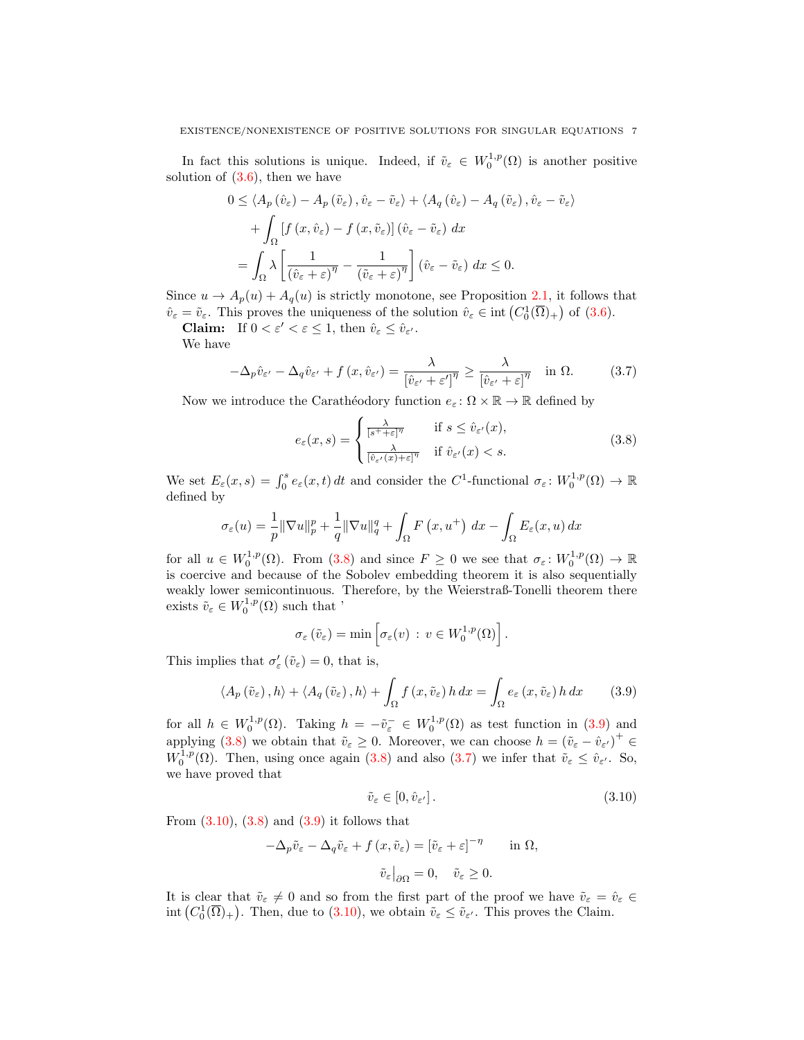In fact this solutions is unique. Indeed, if  $\tilde{v}_{\varepsilon} \in W_0^{1,p}(\Omega)$  is another positive solution of  $(3.6)$ , then we have

$$
0 \leq \langle A_p(\hat{v}_{\varepsilon}) - A_p(\tilde{v}_{\varepsilon}), \hat{v}_{\varepsilon} - \tilde{v}_{\varepsilon} \rangle + \langle A_q(\hat{v}_{\varepsilon}) - A_q(\tilde{v}_{\varepsilon}), \hat{v}_{\varepsilon} - \tilde{v}_{\varepsilon} \rangle
$$
  
+ 
$$
\int_{\Omega} \left[ f(x, \hat{v}_{\varepsilon}) - f(x, \tilde{v}_{\varepsilon}) \right] (\hat{v}_{\varepsilon} - \tilde{v}_{\varepsilon}) dx
$$
  
= 
$$
\int_{\Omega} \lambda \left[ \frac{1}{(\hat{v}_{\varepsilon} + \varepsilon)^{\eta}} - \frac{1}{(\tilde{v}_{\varepsilon} + \varepsilon)^{\eta}} \right] (\hat{v}_{\varepsilon} - \tilde{v}_{\varepsilon}) dx \leq 0.
$$

Since  $u \to A_p(u) + A_q(u)$  is strictly monotone, see Proposition [2.1,](#page-2-1) it follows that  $\hat{v}_{\varepsilon} = \tilde{v}_{\varepsilon}$ . This proves the uniqueness of the solution  $\hat{v}_{\varepsilon} \in \text{int}\left(C_0^1(\overline{\Omega})_+\right)$  of  $(3.6)$ .

**Claim:** If  $0 < \varepsilon' < \varepsilon \leq 1$ , then  $\hat{v}_{\varepsilon} \leq \hat{v}_{\varepsilon'}$ .

We have

$$
-\Delta_p \hat{v}_{\varepsilon'} - \Delta_q \hat{v}_{\varepsilon'} + f(x, \hat{v}_{\varepsilon'}) = \frac{\lambda}{\left[\hat{v}_{\varepsilon'} + \varepsilon'\right]^{\eta}} \ge \frac{\lambda}{\left[\hat{v}_{\varepsilon'} + \varepsilon\right]^{\eta}} \quad \text{in } \Omega. \tag{3.7}
$$

Now we introduce the Carathéodory function  $e_\varepsilon \colon \Omega \times \mathbb{R} \to \mathbb{R}$  defined by

<span id="page-6-2"></span><span id="page-6-0"></span>
$$
e_{\varepsilon}(x,s) = \begin{cases} \frac{\lambda}{[s^+ + \varepsilon]^{\eta}} & \text{if } s \le \hat{v}_{\varepsilon'}(x),\\ \frac{\lambda}{[\hat{v}_{\varepsilon'}(x) + \varepsilon]^{\eta}} & \text{if } \hat{v}_{\varepsilon'}(x) < s. \end{cases}
$$
(3.8)

We set  $E_{\varepsilon}(x, s) = \int_0^s e_{\varepsilon}(x, t) dt$  and consider the C<sup>1</sup>-functional  $\sigma_{\varepsilon}: W_0^{1, p}(\Omega) \to \mathbb{R}$ defined by

$$
\sigma_{\varepsilon}(u) = \frac{1}{p} \|\nabla u\|_{p}^{p} + \frac{1}{q} \|\nabla u\|_{q}^{q} + \int_{\Omega} F(x, u^{+}) \, dx - \int_{\Omega} E_{\varepsilon}(x, u) \, dx
$$

for all  $u \in W_0^{1,p}(\Omega)$ . From  $(3.8)$  and since  $F \geq 0$  we see that  $\sigma_{\varepsilon} \colon W_0^{1,p}(\Omega) \to \mathbb{R}$ is coercive and because of the Sobolev embedding theorem it is also sequentially weakly lower semicontinuous. Therefore, by the Weierstraß-Tonelli theorem there exists  $\tilde{v}_{\varepsilon} \in W_0^{1,p}(\Omega)$  such that '

$$
\sigma_{\varepsilon}(\tilde{v}_{\varepsilon}) = \min \left[ \sigma_{\varepsilon}(v) : v \in W_0^{1,p}(\Omega) \right].
$$

This implies that  $\sigma'_{\varepsilon}(\tilde{v}_{\varepsilon}) = 0$ , that is,

$$
\langle A_p(\tilde{v}_{\varepsilon}), h \rangle + \langle A_q(\tilde{v}_{\varepsilon}), h \rangle + \int_{\Omega} f(x, \tilde{v}_{\varepsilon}) h \, dx = \int_{\Omega} e_{\varepsilon}(x, \tilde{v}_{\varepsilon}) h \, dx \qquad (3.9)
$$

for all  $h \in W_0^{1,p}(\Omega)$ . Taking  $h = -\tilde{v}_{\varepsilon}^- \in W_0^{1,p}(\Omega)$  as test function in [\(3.9\)](#page-6-1) and applying [\(3.8\)](#page-6-0) we obtain that  $\tilde{v}_{\varepsilon} \geq 0$ . Moreover, we can choose  $h = (\tilde{v}_{\varepsilon} - \hat{v}_{\varepsilon'})^+ \in$  $W_0^{1,p}(\Omega)$ . Then, using once again [\(3.8\)](#page-6-0) and also [\(3.7\)](#page-6-2) we infer that  $\tilde{v}_{\varepsilon} \leq \tilde{v}_{\varepsilon}$ . So, we have proved that

<span id="page-6-3"></span><span id="page-6-1"></span>
$$
\tilde{v}_{\varepsilon} \in [0, \hat{v}_{\varepsilon'}]. \tag{3.10}
$$

From  $(3.10)$ ,  $(3.8)$  and  $(3.9)$  it follows that

$$
-\Delta_p \tilde{v}_{\varepsilon} - \Delta_q \tilde{v}_{\varepsilon} + f(x, \tilde{v}_{\varepsilon}) = [\tilde{v}_{\varepsilon} + \varepsilon]^{-\eta} \quad \text{in } \Omega,
$$
  

$$
\tilde{v}_{\varepsilon}|_{\partial \Omega} = 0, \quad \tilde{v}_{\varepsilon} \ge 0.
$$

It is clear that  $\tilde{v}_{\varepsilon} \neq 0$  and so from the first part of the proof we have  $\tilde{v}_{\varepsilon} = \hat{v}_{\varepsilon} \in$  $\text{int}\left(C_0^1(\overline{\Omega})_+\right)$ . Then, due to  $(3.10)$ , we obtain  $\tilde{v}_{\varepsilon} \leq \tilde{v}_{\varepsilon'}$ . This proves the Claim.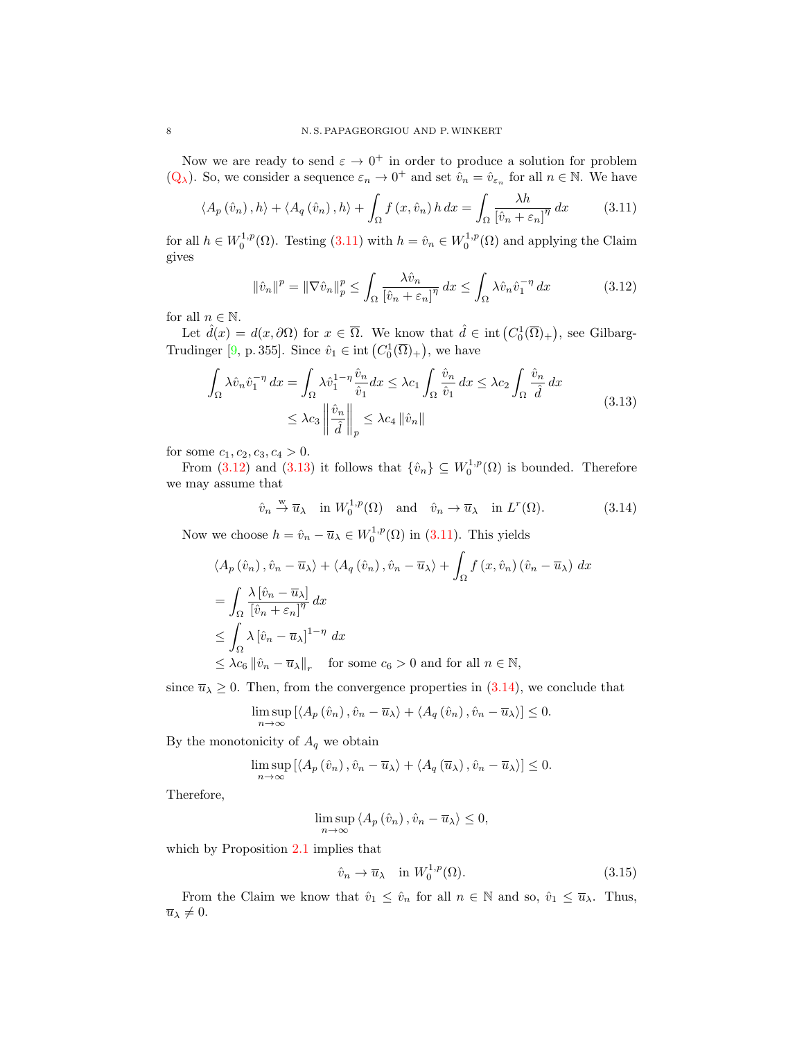Now we are ready to send  $\varepsilon \to 0^+$  in order to produce a solution for problem  $(Q_\lambda)$  $(Q_\lambda)$ . So, we consider a sequence  $\varepsilon_n \to 0^+$  and set  $\hat{v}_n = \hat{v}_{\varepsilon_n}$  for all  $n \in \mathbb{N}$ . We have

$$
\langle A_p(\hat{v}_n), h \rangle + \langle A_q(\hat{v}_n), h \rangle + \int_{\Omega} f(x, \hat{v}_n) h \, dx = \int_{\Omega} \frac{\lambda h}{[\hat{v}_n + \varepsilon_n]^{\eta}} \, dx \tag{3.11}
$$

for all  $h \in W_0^{1,p}(\Omega)$ . Testing [\(3.11\)](#page-7-0) with  $h = \hat{v}_n \in W_0^{1,p}(\Omega)$  and applying the Claim gives

<span id="page-7-1"></span><span id="page-7-0"></span>
$$
\|\hat{v}_n\|^p = \|\nabla \hat{v}_n\|_p^p \le \int_{\Omega} \frac{\lambda \hat{v}_n}{\left[\hat{v}_n + \varepsilon_n\right]^\eta} dx \le \int_{\Omega} \lambda \hat{v}_n \hat{v}_1^{-\eta} dx \tag{3.12}
$$

for all  $n \in \mathbb{N}$ .

Let  $\hat{d}(x) = d(x, \partial \Omega)$  for  $x \in \overline{\Omega}$ . We know that  $\hat{d} \in \text{int}(C_0^1(\overline{\Omega})_+)$ , see Gilbarg-Trudinger [\[9,](#page-15-20) p. 355]. Since  $\hat{v}_1 \in \text{int}\left( C_0^1(\overline{\Omega})_+ \right)$ , we have

$$
\int_{\Omega} \lambda \hat{v}_n \hat{v}_1^{-\eta} dx = \int_{\Omega} \lambda \hat{v}_1^{1-\eta} \frac{\hat{v}_n}{\hat{v}_1} dx \le \lambda c_1 \int_{\Omega} \frac{\hat{v}_n}{\hat{v}_1} dx \le \lambda c_2 \int_{\Omega} \frac{\hat{v}_n}{\hat{d}} dx
$$
\n
$$
\le \lambda c_3 \left\| \frac{\hat{v}_n}{\hat{d}} \right\|_p \le \lambda c_4 \left\| \hat{v}_n \right\|
$$
\n(3.13)

for some  $c_1, c_2, c_3, c_4 > 0$ .

From [\(3.12\)](#page-7-1) and [\(3.13\)](#page-7-2) it follows that  $\{\hat{v}_n\} \subseteq W_0^{1,p}(\Omega)$  is bounded. Therefore we may assume that

<span id="page-7-3"></span><span id="page-7-2"></span>
$$
\hat{v}_n \stackrel{\text{w}}{\rightarrow} \overline{u}_\lambda
$$
 in  $W_0^{1,p}(\Omega)$  and  $\hat{v}_n \rightarrow \overline{u}_\lambda$  in  $L^r(\Omega)$ . (3.14)

Now we choose  $h = \hat{v}_n - \overline{u}_\lambda \in W_0^{1,p}(\Omega)$  in [\(3.11\)](#page-7-0). This yields

$$
\langle A_p(\hat{v}_n), \hat{v}_n - \overline{u}_\lambda \rangle + \langle A_q(\hat{v}_n), \hat{v}_n - \overline{u}_\lambda \rangle + \int_{\Omega} f(x, \hat{v}_n) (\hat{v}_n - \overline{u}_\lambda) dx
$$
  
\n
$$
= \int_{\Omega} \frac{\lambda [\hat{v}_n - \overline{u}_\lambda]}{[\hat{v}_n + \varepsilon_n]^{\eta}} dx
$$
  
\n
$$
\leq \int_{\Omega} \lambda [\hat{v}_n - \overline{u}_\lambda]^{1-\eta} dx
$$
  
\n
$$
\leq \lambda c_6 ||\hat{v}_n - \overline{u}_\lambda||_r \quad \text{for some } c_6 > 0 \text{ and for all } n \in \mathbb{N},
$$

since  $\overline{u}_{\lambda} \geq 0$ . Then, from the convergence properties in [\(3.14\)](#page-7-3), we conclude that

$$
\limsup_{n\to\infty}\left[\left\langle A_p\left(\hat{v}_n\right),\hat{v}_n-\overline{u}_\lambda\right\rangle+\left\langle A_q\left(\hat{v}_n\right),\hat{v}_n-\overline{u}_\lambda\right\rangle\right]\leq 0.
$$

By the monotonicity of  $A_q$  we obtain

$$
\limsup_{n \to \infty} \left[ \langle A_p(\hat{v}_n), \hat{v}_n - \overline{u}_\lambda \rangle + \langle A_q(\overline{u}_\lambda), \hat{v}_n - \overline{u}_\lambda \rangle \right] \leq 0.
$$

Therefore,

$$
\limsup_{n \to \infty} \langle A_p(\hat{v}_n), \hat{v}_n - \overline{u}_\lambda \rangle \le 0,
$$

which by Proposition [2.1](#page-2-1) implies that

<span id="page-7-4"></span>
$$
\hat{v}_n \to \overline{u}_\lambda \quad \text{in } W_0^{1,p}(\Omega). \tag{3.15}
$$

From the Claim we know that  $\hat{v}_1 \leq \hat{v}_n$  for all  $n \in \mathbb{N}$  and so,  $\hat{v}_1 \leq \overline{u}_\lambda$ . Thus,  $\overline{u}_{\lambda} \neq 0.$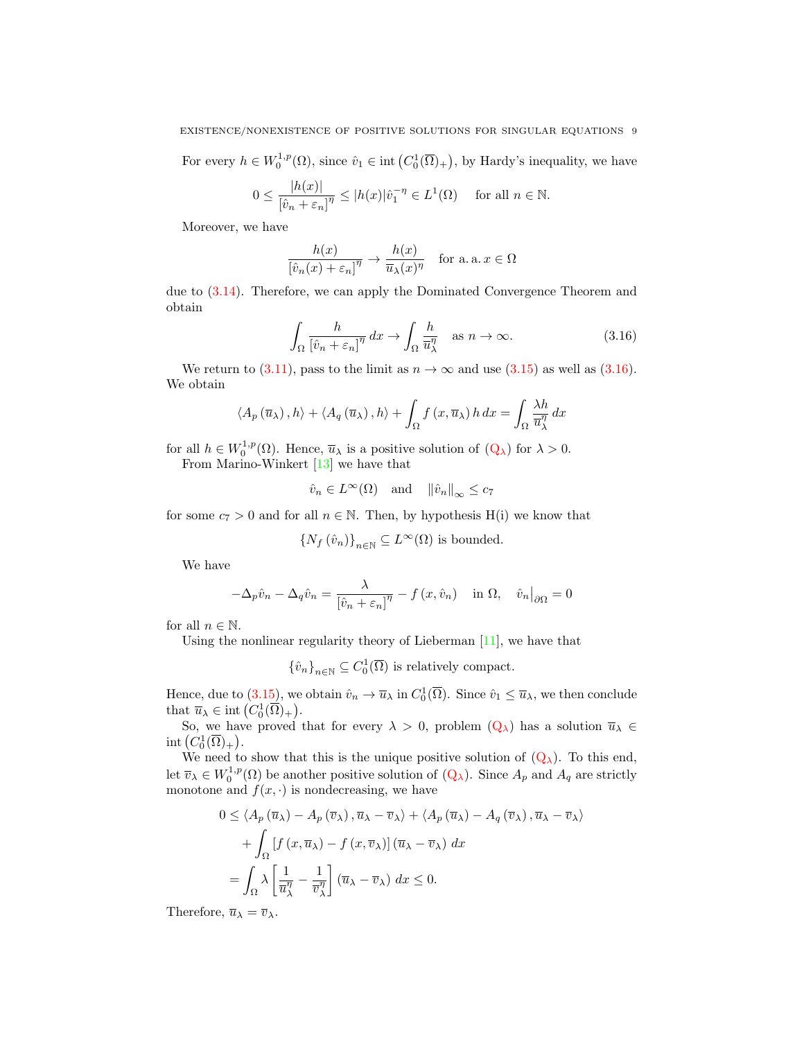For every  $h \in W_0^{1,p}(\Omega)$ , since  $\hat{v}_1 \in \text{int}(C_0^1(\overline{\Omega})_+)$ , by Hardy's inequality, we have

$$
0 \le \frac{|h(x)|}{[\hat{v}_n + \varepsilon_n]^\eta} \le |h(x)| \hat{v}_1^{-\eta} \in L^1(\Omega) \quad \text{ for all } n \in \mathbb{N}.
$$

Moreover, we have

$$
\frac{h(x)}{\left[\hat{v}_n(x) + \varepsilon_n\right]^\eta} \to \frac{h(x)}{\overline{u}_\lambda(x)^\eta} \quad \text{for a. a. } x \in \Omega
$$

due to [\(3.14\)](#page-7-3). Therefore, we can apply the Dominated Convergence Theorem and obtain

<span id="page-8-0"></span>
$$
\int_{\Omega} \frac{h}{\left[\hat{v}_n + \varepsilon_n\right]^{\eta}} \, dx \to \int_{\Omega} \frac{h}{\overline{u}_{\lambda}^{\eta}} \quad \text{as } n \to \infty. \tag{3.16}
$$

We return to [\(3.11\)](#page-7-0), pass to the limit as  $n \to \infty$  and use [\(3.15\)](#page-7-4) as well as [\(3.16\)](#page-8-0). We obtain

$$
\langle A_p(\overline{u}_\lambda), h \rangle + \langle A_q(\overline{u}_\lambda), h \rangle + \int_{\Omega} f(x, \overline{u}_\lambda) h \, dx = \int_{\Omega} \frac{\lambda h}{\overline{u}_\lambda^{\eta}} \, dx
$$

for all  $h \in W_0^{1,p}(\Omega)$ . Hence,  $\overline{u}_{\lambda}$  is a positive solution of  $(Q_{\lambda})$  $(Q_{\lambda})$  for  $\lambda > 0$ .

From Marino-Winkert [\[13\]](#page-15-21) we have that

$$
\hat{v}_n \in L^{\infty}(\Omega)
$$
 and  $\|\hat{v}_n\|_{\infty} \le c_7$ 

for some  $c_7 > 0$  and for all  $n \in \mathbb{N}$ . Then, by hypothesis H(i) we know that

$$
\left\{N_f\left(\hat{v}_n\right)\right\}_{n\in\mathbb{N}}\subseteq L^\infty(\Omega)\text{ is bounded.}
$$

We have

$$
-\Delta_p \hat{v}_n - \Delta_q \hat{v}_n = \frac{\lambda}{[\hat{v}_n + \varepsilon_n]^{\eta}} - f(x, \hat{v}_n) \quad \text{in } \Omega, \quad \hat{v}_n|_{\partial \Omega} = 0
$$

for all  $n \in \mathbb{N}$ .

Using the nonlinear regularity theory of Lieberman [\[11\]](#page-15-18), we have that

 $\{\hat{v}_n\}_{n\in\mathbb{N}}\subseteq C_0^1(\overline{\Omega})$  is relatively compact.

Hence, due to [\(3.15\)](#page-7-4), we obtain  $\hat{v}_n \to \overline{u}_\lambda$  in  $C_0^1(\overline{\Omega})$ . Since  $\hat{v}_1 \le \overline{u}_\lambda$ , we then conclude that  $\overline{u}_{\lambda} \in \text{int}\left(C_0^1(\overline{\Omega})_+\right).$ 

So, we have proved that for every  $\lambda > 0$ , problem  $(Q_\lambda)$  $(Q_\lambda)$  has a solution  $\overline{u}_\lambda \in$ int  $(C_0^1(\overline{\Omega})_+)$ .

We need to show that this is the unique positive solution of  $(Q_\lambda)$  $(Q_\lambda)$ . To this end, let  $\overline{v}_\lambda \in W_0^{1,p}(\Omega)$  be another positive solution of  $(Q_\lambda)$  $(Q_\lambda)$ . Since  $A_p$  and  $A_q$  are strictly monotone and  $f(x, \cdot)$  is nondecreasing, we have

$$
0 \le \langle A_p(\overline{u}_{\lambda}) - A_p(\overline{v}_{\lambda}), \overline{u}_{\lambda} - \overline{v}_{\lambda} \rangle + \langle A_p(\overline{u}_{\lambda}) - A_q(\overline{v}_{\lambda}), \overline{u}_{\lambda} - \overline{v}_{\lambda} \rangle
$$
  
+ 
$$
\int_{\Omega} \left[ f(x, \overline{u}_{\lambda}) - f(x, \overline{v}_{\lambda}) \right] (\overline{u}_{\lambda} - \overline{v}_{\lambda}) dx
$$
  
= 
$$
\int_{\Omega} \lambda \left[ \frac{1}{\overline{u}_{\lambda}^{\eta}} - \frac{1}{\overline{v}_{\lambda}^{\eta}} \right] (\overline{u}_{\lambda} - \overline{v}_{\lambda}) dx \le 0.
$$

Therefore,  $\overline{u}_{\lambda} = \overline{v}_{\lambda}$ .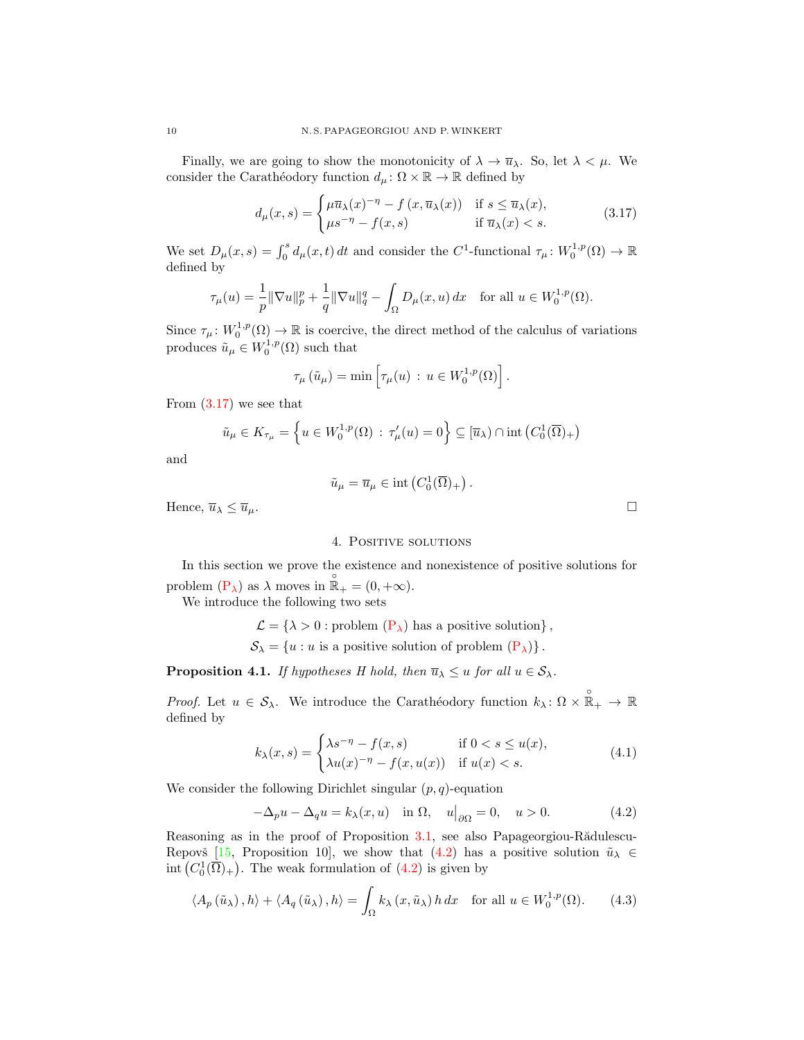Finally, we are going to show the monotonicity of  $\lambda \to \overline{u}_{\lambda}$ . So, let  $\lambda < \mu$ . We consider the Carathéodory function  $d_{\mu} \colon \Omega \times \mathbb{R} \to \mathbb{R}$  defined by

$$
d_{\mu}(x,s) = \begin{cases} \mu \overline{u}_{\lambda}(x)^{-\eta} - f(x, \overline{u}_{\lambda}(x)) & \text{if } s \le \overline{u}_{\lambda}(x), \\ \mu s^{-\eta} - f(x,s) & \text{if } \overline{u}_{\lambda}(x) < s. \end{cases}
$$
(3.17)

We set  $D_{\mu}(x,s) = \int_0^s d_{\mu}(x,t) dt$  and consider the C<sup>1</sup>-functional  $\tau_{\mu} \colon W_0^{1,p}(\Omega) \to \mathbb{R}$ defined by

$$
\tau_{\mu}(u) = \frac{1}{p} \|\nabla u\|_{p}^{p} + \frac{1}{q} \|\nabla u\|_{q}^{q} - \int_{\Omega} D_{\mu}(x, u) dx \quad \text{for all } u \in W_{0}^{1, p}(\Omega).
$$

Since  $\tau_{\mu}: W_0^{1,p}(\Omega) \to \mathbb{R}$  is coercive, the direct method of the calculus of variations produces  $\tilde{u}_{\mu} \in W_0^{1,p}(\Omega)$  such that

$$
\tau_{\mu}(\tilde{u}_{\mu}) = \min \left[ \tau_{\mu}(u) \, : \, u \in W_0^{1,p}(\Omega) \right].
$$

From  $(3.17)$  we see that

$$
\tilde{u}_{\mu} \in K_{\tau_{\mu}} = \left\{ u \in W_0^{1,p}(\Omega) : \tau_{\mu}'(u) = 0 \right\} \subseteq [\overline{u}_{\lambda}) \cap \text{int}\left(C_0^1(\overline{\Omega})_+\right)
$$

and

$$
\tilde{u}_{\mu} = \overline{u}_{\mu} \in \text{int}\left(C_0^1(\overline{\Omega})_+\right).
$$

Hence,  $\overline{u}_{\lambda} \leq \overline{u}_{\mu}$ .

## 4. Positive solutions

In this section we prove the existence and nonexistence of positive solutions for problem  $(P_{\lambda})$  $(P_{\lambda})$  as  $\lambda$  moves in  $\mathbb{R}_{+}^{0} = (0, +\infty)$ .

We introduce the following two sets

$$
\mathcal{L} = \{ \lambda > 0 : problem (P_{\lambda}) has a positive solution \},
$$

 $\mathcal{S}_{\lambda} = \{u : u \text{ is a positive solution of problem } (\mathbf{P}_{\lambda})\}.$ 

<span id="page-9-4"></span>**Proposition 4.1.** If hypotheses H hold, then  $\overline{u}_{\lambda} \leq u$  for all  $u \in S_{\lambda}$ .

Proof. Let  $u \in \mathcal{S}_{\lambda}$ . We introduce the Carathéodory function  $k_{\lambda} \colon \Omega \times \mathbb{R}_{+} \to \mathbb{R}$ defined by

$$
k_{\lambda}(x,s) = \begin{cases} \lambda s^{-\eta} - f(x,s) & \text{if } 0 < s \le u(x), \\ \lambda u(x)^{-\eta} - f(x,u(x)) & \text{if } u(x) < s. \end{cases} \tag{4.1}
$$

We consider the following Dirichlet singular  $(p, q)$ -equation

<span id="page-9-2"></span>
$$
-\Delta_p u - \Delta_q u = k_\lambda(x, u) \quad \text{in } \Omega, \quad u\big|_{\partial\Omega} = 0, \quad u > 0. \tag{4.2}
$$

Reasoning as in the proof of Proposition  $3.1$ , see also Papageorgiou-R $\ddot{a}$ dulescu-Repovš [\[15,](#page-15-9) Proposition 10], we show that [\(4.2\)](#page-9-1) has a positive solution  $\tilde{u}_{\lambda} \in$ int  $(C_0^1(\overline{\Omega})_+)$ . The weak formulation of  $(4.2)$  is given by

$$
\langle A_p(\tilde{u}_\lambda), h \rangle + \langle A_q(\tilde{u}_\lambda), h \rangle = \int_{\Omega} k_\lambda(x, \tilde{u}_\lambda) h \, dx \quad \text{for all } u \in W_0^{1, p}(\Omega). \tag{4.3}
$$

<span id="page-9-3"></span><span id="page-9-1"></span><span id="page-9-0"></span>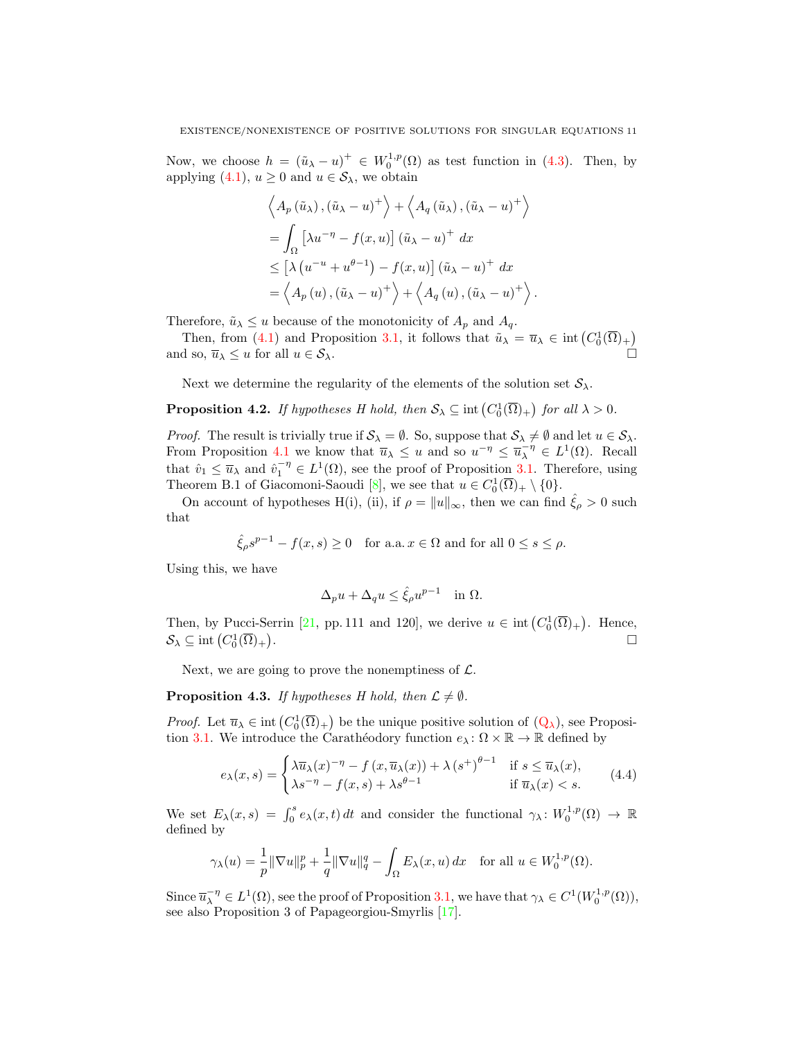Now, we choose  $h = (\tilde{u}_{\lambda} - u)^+ \in W_0^{1,p}(\Omega)$  as test function in [\(4.3\)](#page-9-2). Then, by applying [\(4.1\)](#page-9-3),  $u \ge 0$  and  $u \in \mathcal{S}_{\lambda}$ , we obtain

$$
\left\langle A_p\left(\tilde{u}_\lambda\right), \left(\tilde{u}_\lambda - u\right)^+\right\rangle + \left\langle A_q\left(\tilde{u}_\lambda\right), \left(\tilde{u}_\lambda - u\right)^+\right\rangle
$$
  
= 
$$
\int_{\Omega} \left[\lambda u^{-\eta} - f(x, u)\right] \left(\tilde{u}_\lambda - u\right)^+ dx
$$
  

$$
\leq \left[\lambda \left(u^{-u} + u^{\theta - 1}\right) - f(x, u)\right] \left(\tilde{u}_\lambda - u\right)^+ dx
$$
  
= 
$$
\left\langle A_p\left(u\right), \left(\tilde{u}_\lambda - u\right)^+\right\rangle + \left\langle A_q\left(u\right), \left(\tilde{u}_\lambda - u\right)^+\right\rangle.
$$

Therefore,  $\tilde{u}_{\lambda} \leq u$  because of the monotonicity of  $A_p$  and  $A_q$ .

Then, from [\(4.1\)](#page-9-3) and Proposition [3.1,](#page-3-2) it follows that  $\tilde{u}_{\lambda} = \overline{u}_{\lambda} \in \text{int}(C_0^1(\overline{\Omega})_+)$ and so,  $\overline{u}_{\lambda} \leq u$  for all  $u \in \mathcal{S}_{\lambda}$ .

Next we determine the regularity of the elements of the solution set  $S_{\lambda}$ .

<span id="page-10-1"></span>**Proposition 4.2.** If hypotheses H hold, then  $S_{\lambda} \subseteq \text{int}(C_0^1(\overline{\Omega})_+)$  for all  $\lambda > 0$ .

*Proof.* The result is trivially true if  $S_\lambda = \emptyset$ . So, suppose that  $S_\lambda \neq \emptyset$  and let  $u \in S_\lambda$ . From Proposition [4.1](#page-9-4) we know that  $\overline{u}_{\lambda} \leq u$  and so  $u^{-\eta} \leq \overline{u}_{\lambda}^{-\eta} \in L^1(\Omega)$ . Recall that  $\hat{v}_1 \leq \overline{u}_{\lambda}$  and  $\hat{v}_1^{-\eta} \in L^1(\Omega)$ , see the proof of Proposition [3.1.](#page-3-2) Therefore, using Theorem B.1 of Giacomoni-Saoudi [\[8\]](#page-15-22), we see that  $u \in C_0^1(\overline{\Omega})_+ \setminus \{0\}.$ 

On account of hypotheses H(i), (ii), if  $\rho = ||u||_{\infty}$ , then we can find  $\hat{\xi}_{\rho} > 0$  such that

$$
\hat{\xi}_{\rho}s^{p-1} - f(x,s) \ge 0 \quad \text{for a.a. } x \in \Omega \text{ and for all } 0 \le s \le \rho.
$$

Using this, we have

<span id="page-10-0"></span>
$$
\Delta_p u + \Delta_q u \le \hat{\xi}_{\rho} u^{p-1} \quad \text{in } \Omega.
$$

Then, by Pucci-Serrin [\[21,](#page-15-19) pp. 111 and 120], we derive  $u \in \text{int}(C_0^1(\overline{\Omega})_+)$ . Hence,  $\mathcal{S}_{\lambda} \subseteq \text{int}\left(C_0^1(\overline{\Omega})_+\right)$ .

Next, we are going to prove the nonemptiness of  $\mathcal{L}$ .

**Proposition 4.3.** If hypotheses H hold, then  $\mathcal{L} \neq \emptyset$ .

*Proof.* Let  $\overline{u}_{\lambda} \in \text{int}(C_0^1(\overline{\Omega})_+)$  be the unique positive solution of  $(Q_{\lambda})$  $(Q_{\lambda})$ , see Proposi-tion [3.1.](#page-3-2) We introduce the Carathéodory function  $e_\lambda : \Omega \times \mathbb{R} \to \mathbb{R}$  defined by

$$
e_{\lambda}(x,s) = \begin{cases} \lambda \overline{u}_{\lambda}(x)^{-\eta} - f(x, \overline{u}_{\lambda}(x)) + \lambda (s^+)^{\theta - 1} & \text{if } s \le \overline{u}_{\lambda}(x), \\ \lambda s^{-\eta} - f(x,s) + \lambda s^{\theta - 1} & \text{if } \overline{u}_{\lambda}(x) < s. \end{cases}
$$
(4.4)

We set  $E_{\lambda}(x,s) = \int_0^s e_{\lambda}(x,t) dt$  and consider the functional  $\gamma_{\lambda}: W_0^{1,p}(\Omega) \to \mathbb{R}$ defined by

$$
\gamma_{\lambda}(u) = \frac{1}{p} \|\nabla u\|_{p}^{p} + \frac{1}{q} \|\nabla u\|_{q}^{q} - \int_{\Omega} E_{\lambda}(x, u) dx \quad \text{for all } u \in W_{0}^{1, p}(\Omega).
$$

Since  $\overline{u}_{\lambda}^{-\eta} \in L^1(\Omega)$ , see the proof of Proposition [3.1,](#page-3-2) we have that  $\gamma_{\lambda} \in C^1(W_0^{1,p}(\Omega))$ , see also Proposition 3 of Papageorgiou-Smyrlis [\[17\]](#page-15-23).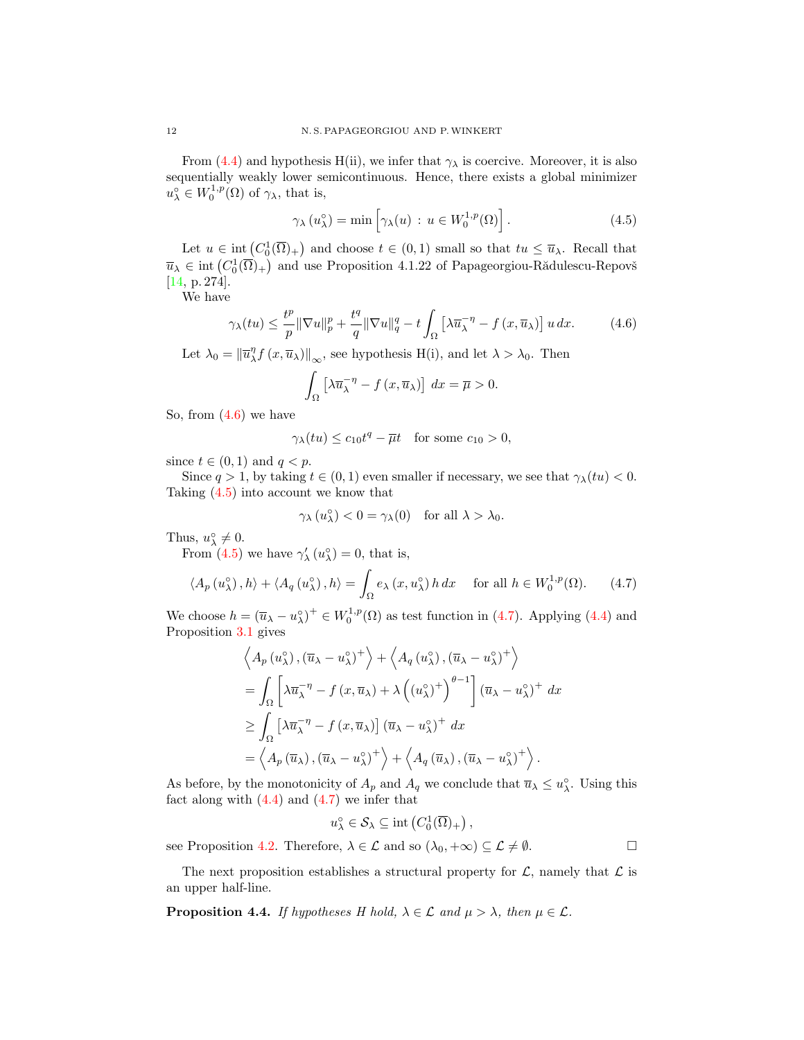From [\(4.4\)](#page-10-0) and hypothesis H(ii), we infer that  $\gamma_{\lambda}$  is coercive. Moreover, it is also sequentially weakly lower semicontinuous. Hence, there exists a global minimizer  $u^{\circ}_{\lambda} \in W_0^{1,p}(\Omega)$  of  $\gamma_{\lambda}$ , that is,

<span id="page-11-1"></span>
$$
\gamma_{\lambda}(u_{\lambda}^{\circ}) = \min \left[ \gamma_{\lambda}(u) : u \in W_0^{1,p}(\Omega) \right]. \tag{4.5}
$$

Let  $u \in \text{int}(C_0^1(\overline{\Omega})_+)$  and choose  $t \in (0,1)$  small so that  $tu \leq \overline{u}_{\lambda}$ . Recall that  $\overline{u}_{\lambda} \in \text{int}\left(C_0^1(\overline{\Omega})_+\right)$  and use Proposition 4.1.22 of Papageorgiou-Rădulescu-Repovš [\[14,](#page-15-15) p. 274].

We have

$$
\gamma_{\lambda}(tu) \leq \frac{t^p}{p} \|\nabla u\|_{p}^{p} + \frac{t^q}{q} \|\nabla u\|_{q}^{q} - t \int_{\Omega} \left[\lambda \overline{u}_{\lambda}^{-\eta} - f\left(x, \overline{u}_{\lambda}\right)\right] u \, dx. \tag{4.6}
$$

Let  $\lambda_0 = \left\| \overline{u}_{\lambda}^{\eta} f (x, \overline{u}_{\lambda}) \right\|_{\infty}$ , see hypothesis H(i), and let  $\lambda > \lambda_0$ . Then

<span id="page-11-0"></span>
$$
\int_{\Omega} \left[ \lambda \overline{u}_{\lambda}^{-\eta} - f(x, \overline{u}_{\lambda}) \right] dx = \overline{\mu} > 0.
$$

So, from [\(4.6\)](#page-11-0) we have

$$
\gamma_{\lambda}(tu) \le c_{10}t^q - \overline{\mu}t \quad \text{for some } c_{10} > 0,
$$

since  $t \in (0, 1)$  and  $q < p$ .

Since  $q > 1$ , by taking  $t \in (0, 1)$  even smaller if necessary, we see that  $\gamma_{\lambda}(tu) < 0$ . Taking [\(4.5\)](#page-11-1) into account we know that

<span id="page-11-2"></span>
$$
\gamma_{\lambda}(u_{\lambda}^{\circ}) < 0 = \gamma_{\lambda}(0) \text{ for all } \lambda > \lambda_0.
$$

Thus,  $u_{\lambda}^{\circ} \neq 0$ .

From [\(4.5\)](#page-11-1) we have  $\gamma'_{\lambda}(u_{\lambda}^{\circ}) = 0$ , that is,

$$
\langle A_p(u_\lambda^\circ), h \rangle + \langle A_q(u_\lambda^\circ), h \rangle = \int_{\Omega} e_\lambda(x, u_\lambda^\circ) h \, dx \quad \text{for all } h \in W_0^{1,p}(\Omega). \tag{4.7}
$$

We choose  $h = (\overline{u}_{\lambda} - u_{\lambda}^{\circ})^+ \in W_0^{1,p}(\Omega)$  as test function in [\(4.7\)](#page-11-2). Applying [\(4.4\)](#page-10-0) and Proposition [3.1](#page-3-2) gives

$$
\left\langle A_p(u_\lambda^{\circ}), (\overline{u}_\lambda - u_\lambda^{\circ})^+ \right\rangle + \left\langle A_q(u_\lambda^{\circ}), (\overline{u}_\lambda - u_\lambda^{\circ})^+ \right\rangle
$$
  
=  $\int_{\Omega} \left[ \lambda \overline{u}_\lambda^{-\eta} - f(x, \overline{u}_\lambda) + \lambda \left( (u_\lambda^{\circ})^+ \right)^{\theta - 1} \right] (\overline{u}_\lambda - u_\lambda^{\circ})^+ dx$   

$$
\geq \int_{\Omega} \left[ \lambda \overline{u}_\lambda^{-\eta} - f(x, \overline{u}_\lambda) \right] (\overline{u}_\lambda - u_\lambda^{\circ})^+ dx
$$
  
=  $\left\langle A_p(\overline{u}_\lambda), (\overline{u}_\lambda - u_\lambda^{\circ})^+ \right\rangle + \left\langle A_q(\overline{u}_\lambda), (\overline{u}_\lambda - u_\lambda^{\circ})^+ \right\rangle.$ 

As before, by the monotonicity of  $A_p$  and  $A_q$  we conclude that  $\overline{u}_{\lambda} \leq u_{\lambda}^{\circ}$ . Using this fact along with  $(4.4)$  and  $(4.7)$  we infer that

$$
u_{\lambda}^{\circ} \in \mathcal{S}_{\lambda} \subseteq \text{int}\left(C_0^1(\overline{\Omega})_+\right),\,
$$

see Proposition [4.2.](#page-10-1) Therefore,  $\lambda \in \mathcal{L}$  and so  $(\lambda_0, +\infty) \subseteq \mathcal{L} \neq \emptyset$ .

The next proposition establishes a structural property for  $\mathcal{L}$ , namely that  $\mathcal{L}$  is an upper half-line.

<span id="page-11-3"></span>**Proposition 4.4.** If hypotheses H hold,  $\lambda \in \mathcal{L}$  and  $\mu > \lambda$ , then  $\mu \in \mathcal{L}$ .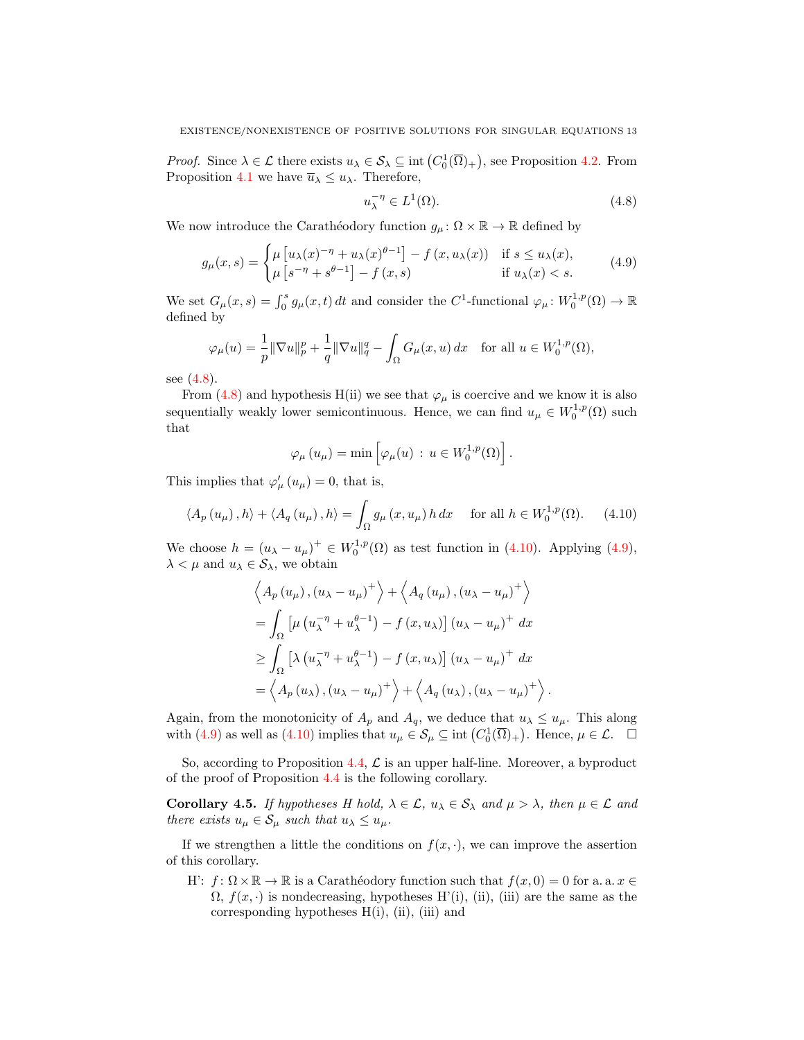*Proof.* Since  $\lambda \in \mathcal{L}$  there exists  $u_{\lambda} \in \mathcal{S}_{\lambda} \subseteq \text{int}(C_0^1(\overline{\Omega})_+)$ , see Proposition [4.2.](#page-10-1) From Proposition [4.1](#page-9-4) we have  $\overline{u}_{\lambda} \leq u_{\lambda}$ . Therefore,

<span id="page-12-2"></span><span id="page-12-0"></span>
$$
u_{\lambda}^{-\eta} \in L^{1}(\Omega). \tag{4.8}
$$

<span id="page-12-1"></span>.

We now introduce the Carathéodory function  $g_{\mu} : \Omega \times \mathbb{R} \to \mathbb{R}$  defined by

$$
g_{\mu}(x,s) = \begin{cases} \mu\left[u_{\lambda}(x)^{-\eta} + u_{\lambda}(x)^{\theta-1}\right] - f\left(x, u_{\lambda}(x)\right) & \text{if } s \le u_{\lambda}(x), \\ \mu\left[s^{-\eta} + s^{\theta-1}\right] - f\left(x, s\right) & \text{if } u_{\lambda}(x) < s. \end{cases} \tag{4.9}
$$

We set  $G_{\mu}(x,s) = \int_0^s g_{\mu}(x,t) dt$  and consider the C<sup>1</sup>-functional  $\varphi_{\mu} \colon W_0^{1,p}(\Omega) \to \mathbb{R}$ defined by

$$
\varphi_{\mu}(u) = \frac{1}{p} \|\nabla u\|_{p}^{p} + \frac{1}{q} \|\nabla u\|_{q}^{q} - \int_{\Omega} G_{\mu}(x, u) dx \text{ for all } u \in W_{0}^{1, p}(\Omega),
$$

see [\(4.8\)](#page-12-0).

From [\(4.8\)](#page-12-0) and hypothesis H(ii) we see that  $\varphi_{\mu}$  is coercive and we know it is also sequentially weakly lower semicontinuous. Hence, we can find  $u_{\mu} \in W_0^{1,p}(\Omega)$  such that

$$
\varphi_{\mu}(u_{\mu}) = \min \left[ \varphi_{\mu}(u) \, : \, u \in W_0^{1,p}(\Omega) \right].
$$

This implies that  $\varphi'_{\mu}(u_{\mu}) = 0$ , that is,

$$
\langle A_p(u_\mu), h \rangle + \langle A_q(u_\mu), h \rangle = \int_{\Omega} g_\mu(x, u_\mu) h \, dx \quad \text{for all } h \in W_0^{1, p}(\Omega). \tag{4.10}
$$

We choose  $h = (u_{\lambda} - u_{\mu})^+ \in W_0^{1,p}(\Omega)$  as test function in [\(4.10\)](#page-12-1). Applying [\(4.9\)](#page-12-2),  $\lambda < \mu$  and  $u_{\lambda} \in \mathcal{S}_{\lambda}$ , we obtain

$$
\left\langle A_p(u_\mu), (u_\lambda - u_\mu)^+ \right\rangle + \left\langle A_q(u_\mu), (u_\lambda - u_\mu)^+ \right\rangle
$$
  
=  $\int_{\Omega} \left[ \mu (u_\lambda^{-\eta} + u_\lambda^{\theta-1}) - f(x, u_\lambda) \right] (u_\lambda - u_\mu)^+ dx$   
 $\ge \int_{\Omega} \left[ \lambda (u_\lambda^{-\eta} + u_\lambda^{\theta-1}) - f(x, u_\lambda) \right] (u_\lambda - u_\mu)^+ dx$   
=  $\left\langle A_p(u_\lambda), (u_\lambda - u_\mu)^+ \right\rangle + \left\langle A_q(u_\lambda), (u_\lambda - u_\mu)^+ \right\rangle$ 

Again, from the monotonicity of  $A_p$  and  $A_q$ , we deduce that  $u_\lambda \leq u_\mu$ . This along with [\(4.9\)](#page-12-2) as well as [\(4.10\)](#page-12-1) implies that  $u_{\mu} \in \mathcal{S}_{\mu} \subseteq \text{int}(C_0^1(\overline{\Omega})_+)$ . Hence,  $\mu \in \mathcal{L}$ .  $\Box$ 

So, according to Proposition [4.4,](#page-11-3)  $\mathcal L$  is an upper half-line. Moreover, a byproduct of the proof of Proposition [4.4](#page-11-3) is the following corollary.

<span id="page-12-3"></span>**Corollary 4.5.** If hypotheses H hold,  $\lambda \in \mathcal{L}$ ,  $u_{\lambda} \in \mathcal{S}_{\lambda}$  and  $\mu > \lambda$ , then  $\mu \in \mathcal{L}$  and there exists  $u_{\mu} \in S_{\mu}$  such that  $u_{\lambda} \leq u_{\mu}$ .

If we strengthen a little the conditions on  $f(x, \cdot)$ , we can improve the assertion of this corollary.

H':  $f: \Omega \times \mathbb{R} \to \mathbb{R}$  is a Carathéodory function such that  $f(x, 0) = 0$  for a. a.  $x \in$  $\Omega$ ,  $f(x, \cdot)$  is nondecreasing, hypotheses H'(i), (ii), (iii) are the same as the corresponding hypotheses  $H(i)$ , (ii), (iii) and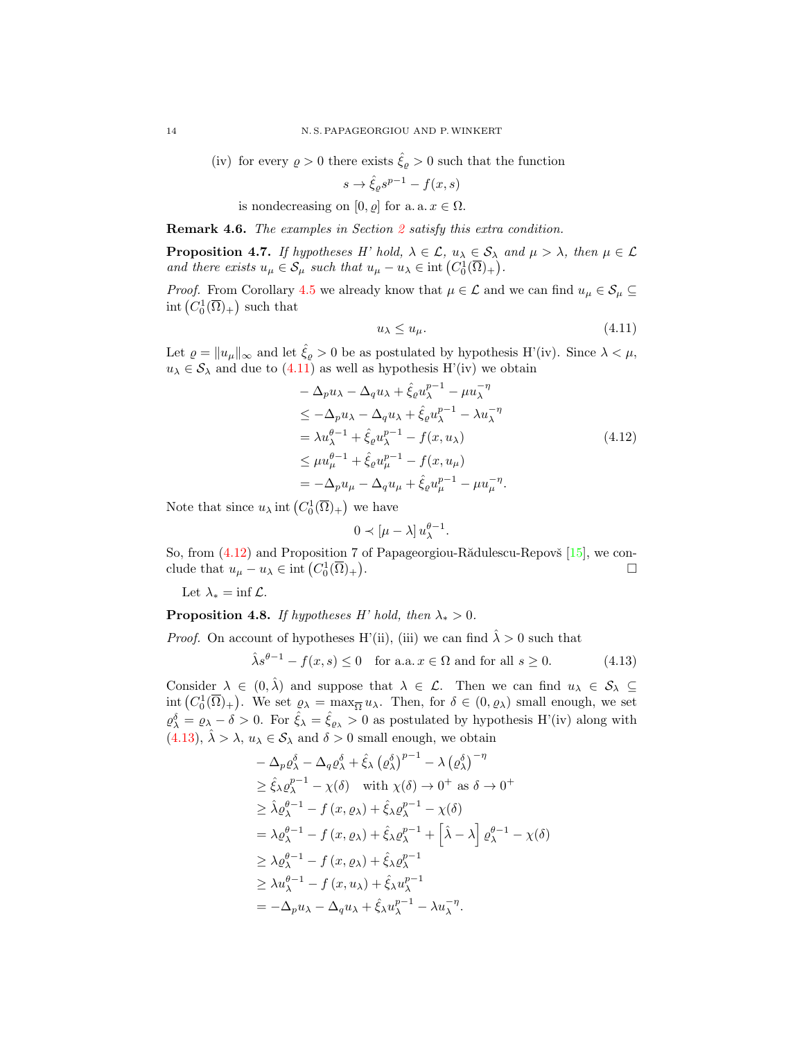(iv) for every  $\rho > 0$  there exists  $\hat{\xi}_{\rho} > 0$  such that the function

$$
s \to \hat{\xi}_{\varrho} s^{p-1} - f(x, s)
$$

is nondecreasing on [0,  $\rho$ ] for a. a.  $x \in \Omega$ .

Remark 4.6. The examples in Section [2](#page-1-0) satisfy this extra condition.

**Proposition 4.7.** If hypotheses H' hold,  $\lambda \in \mathcal{L}$ ,  $u_{\lambda} \in \mathcal{S}_{\lambda}$  and  $\mu > \lambda$ , then  $\mu \in \mathcal{L}$ and there exists  $u_{\mu} \in \mathcal{S}_{\mu}$  such that  $u_{\mu} - u_{\lambda} \in \text{int}(C_0^1(\overline{\Omega})_+)$ .

*Proof.* From Corollary [4.5](#page-12-3) we already know that  $\mu \in \mathcal{L}$  and we can find  $u_{\mu} \in \mathcal{S}_{\mu} \subseteq$  $\mathrm{int}\left( C_0^1(\overline{\Omega})_+\right)$  such that

<span id="page-13-1"></span><span id="page-13-0"></span>
$$
u_{\lambda} \le u_{\mu}.\tag{4.11}
$$

Let  $\varrho = ||u_{\mu}||_{\infty}$  and let  $\hat{\xi}_{\varrho} > 0$  be as postulated by hypothesis H'(iv). Since  $\lambda < \mu$ ,  $u_{\lambda} \in \mathcal{S}_{\lambda}$  and due to  $(4.11)$  as well as hypothesis H'(iv) we obtain

$$
-\Delta_p u_\lambda - \Delta_q u_\lambda + \hat{\xi}_\rho u_\lambda^{p-1} - \mu u_\lambda^{-\eta}
$$
  
\n
$$
\leq -\Delta_p u_\lambda - \Delta_q u_\lambda + \hat{\xi}_\rho u_\lambda^{p-1} - \lambda u_\lambda^{-\eta}
$$
  
\n
$$
= \lambda u_\lambda^{\theta - 1} + \hat{\xi}_\rho u_\lambda^{p-1} - f(x, u_\lambda)
$$
  
\n
$$
\leq \mu u_\mu^{\theta - 1} + \hat{\xi}_\rho u_\mu^{p-1} - f(x, u_\mu)
$$
  
\n
$$
= -\Delta_p u_\mu - \Delta_q u_\mu + \hat{\xi}_\rho u_\mu^{p-1} - \mu u_\mu^{-\eta}.
$$
\n(4.12)

Note that since  $u_{\lambda}$  int  $(C_0^1(\overline{\Omega})_+)$  we have

<span id="page-13-2"></span>
$$
0 \prec [\mu - \lambda] u_{\lambda}^{\theta - 1}.
$$

So, from  $(4.12)$  and Proposition 7 of Papageorgiou-R $\ddot{a}$ dulescu-Repovš [\[15\]](#page-15-9), we conclude that  $u_{\mu} - u_{\lambda} \in \text{int} (C_0^1(\overline{\Omega})_+)$ . В последните последните последните последните последните последните последните последните последните последн<br>В последните последните последните последните последните последните последните последните последните последнит

Let  $\lambda_* = \inf \mathcal{L}$ .

### **Proposition 4.8.** If hypotheses H' hold, then  $\lambda_* > 0$ .

*Proof.* On account of hypotheses H'(ii), (iii) we can find  $\lambda > 0$  such that

$$
\hat{\lambda}s^{\theta-1} - f(x,s) \le 0 \quad \text{for a.a. } x \in \Omega \text{ and for all } s \ge 0. \tag{4.13}
$$

Consider  $\lambda \in (0, \hat{\lambda})$  and suppose that  $\lambda \in \mathcal{L}$ . Then we can find  $u_{\lambda} \in \mathcal{S}_{\lambda} \subseteq$  $\text{int}\left(C_0^1(\overline{\Omega})_+\right)$ . We set  $\varrho_\lambda = \max_{\overline{\Omega}} u_\lambda$ . Then, for  $\delta \in (0, \varrho_\lambda)$  small enough, we set  $\varrho_{\lambda}^{\delta} = \varrho_{\lambda} - \delta > 0$ . For  $\hat{\xi}_{\lambda} = \hat{\xi}_{\varrho_{\lambda}} > 0$  as postulated by hypothesis H'(iv) along with [\(4.13\)](#page-13-2),  $\hat{\lambda} > \lambda$ ,  $u_{\lambda} \in S_{\lambda}$  and  $\delta > 0$  small enough, we obtain

$$
-\Delta_p \varrho_{\lambda}^{\delta} - \Delta_q \varrho_{\lambda}^{\delta} + \hat{\xi}_{\lambda} (\varrho_{\lambda}^{\delta})^{p-1} - \lambda (\varrho_{\lambda}^{\delta})^{-\eta}
$$
  
\n
$$
\geq \hat{\xi}_{\lambda} \varrho_{\lambda}^{p-1} - \chi(\delta) \quad \text{with } \chi(\delta) \to 0^{+} \text{ as } \delta \to 0^{+}
$$
  
\n
$$
\geq \hat{\lambda} \varrho_{\lambda}^{\theta-1} - f (x, \varrho_{\lambda}) + \hat{\xi}_{\lambda} \varrho_{\lambda}^{p-1} - \chi(\delta)
$$
  
\n
$$
= \lambda \varrho_{\lambda}^{\theta-1} - f (x, \varrho_{\lambda}) + \hat{\xi}_{\lambda} \varrho_{\lambda}^{p-1} + \left[ \hat{\lambda} - \lambda \right] \varrho_{\lambda}^{\theta-1} - \chi(\delta)
$$
  
\n
$$
\geq \lambda \varrho_{\lambda}^{\theta-1} - f (x, \varrho_{\lambda}) + \hat{\xi}_{\lambda} \varrho_{\lambda}^{p-1}
$$
  
\n
$$
\geq \lambda u_{\lambda}^{\theta-1} - f (x, u_{\lambda}) + \hat{\xi}_{\lambda} u_{\lambda}^{p-1}
$$
  
\n
$$
= -\Delta_p u_{\lambda} - \Delta_q u_{\lambda} + \hat{\xi}_{\lambda} u_{\lambda}^{p-1} - \lambda u_{\lambda}^{-\eta}.
$$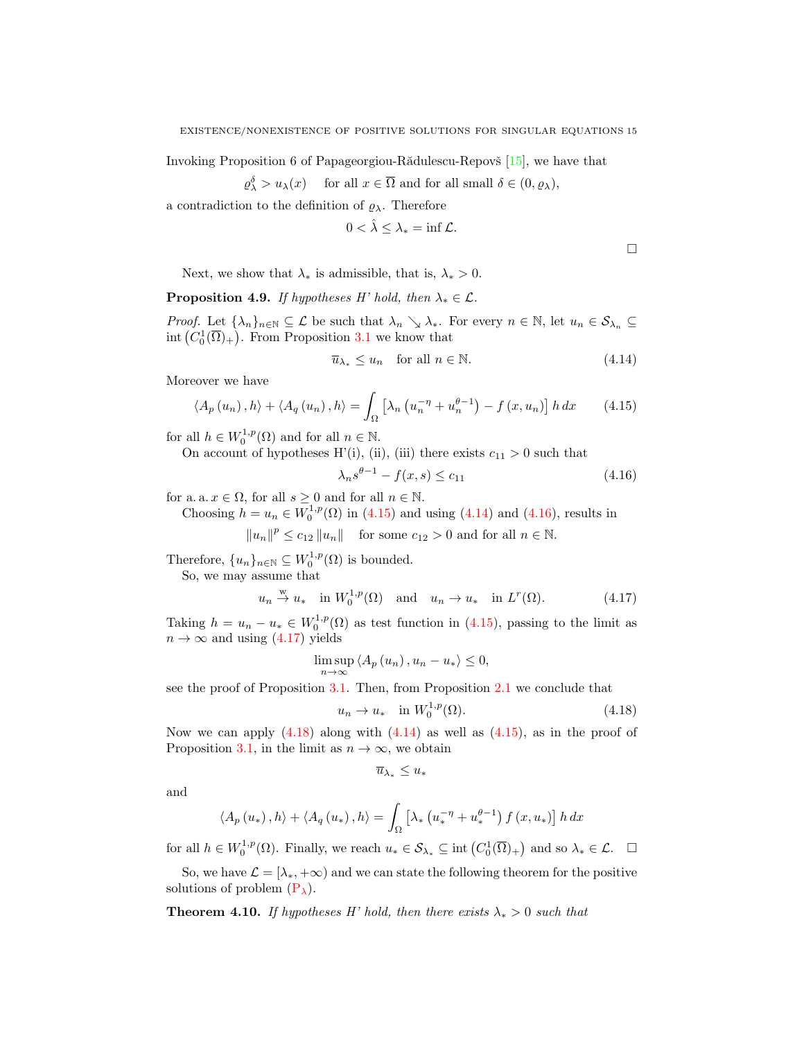Invoking Proposition 6 of Papageorgiou-R $\ddot{\text{add}}$ ulescu-Repov $\ddot{\text{s}}$  [\[15\]](#page-15-9), we have that

$$
\varrho_{\lambda}^{\delta} > u_{\lambda}(x)
$$
 for all  $x \in \overline{\Omega}$  and for all small  $\delta \in (0, \varrho_{\lambda}),$ 

a contradiction to the definition of  $\varrho_\lambda.$  Therefore

$$
0<\hat{\lambda}\leq\lambda_*=\inf\mathcal{L}.
$$

<span id="page-14-2"></span><span id="page-14-1"></span><span id="page-14-0"></span> $\Box$ 

Next, we show that  $\lambda_*$  is admissible, that is,  $\lambda_* > 0$ .

**Proposition 4.9.** If hypotheses H' hold, then  $\lambda_* \in \mathcal{L}$ .

*Proof.* Let  $\{\lambda_n\}_{n\in\mathbb{N}}\subseteq\mathcal{L}$  be such that  $\lambda_n\setminus\lambda_*$ . For every  $n\in\mathbb{N}$ , let  $u_n\in\mathcal{S}_{\lambda_n}\subseteq\mathcal{C}$  $\text{int}\left(C_0^1(\overline{\Omega})_+\right)$ . From Proposition [3.1](#page-3-2) we know that

$$
\overline{u}_{\lambda_*} \le u_n \quad \text{for all } n \in \mathbb{N}.\tag{4.14}
$$

Moreover we have

$$
\langle A_p(u_n), h \rangle + \langle A_q(u_n), h \rangle = \int_{\Omega} \left[ \lambda_n \left( u_n^{-\eta} + u_n^{\theta - 1} \right) - f(x, u_n) \right] h \, dx \tag{4.15}
$$

for all  $h \in W_0^{1,p}(\Omega)$  and for all  $n \in \mathbb{N}$ .

On account of hypotheses H'(i), (ii), (iii) there exists  $c_{11} > 0$  such that

<span id="page-14-3"></span>
$$
\lambda_n s^{\theta - 1} - f(x, s) \le c_{11} \tag{4.16}
$$

for a. a.  $x \in \Omega$ , for all  $s \geq 0$  and for all  $n \in \mathbb{N}$ .

Choosing  $h = u_n \in W_0^{1,p}(\Omega)$  in [\(4.15\)](#page-14-0) and using [\(4.14\)](#page-14-1) and [\(4.16\)](#page-14-2), results in

 $||u_n||^p \le c_{12} ||u_n||$  for some  $c_{12} > 0$  and for all  $n \in \mathbb{N}$ .

Therefore,  $\{u_n\}_{n\in\mathbb{N}} \subseteq W_0^{1,p}(\Omega)$  is bounded.

So, we may assume that

$$
u_n \stackrel{w}{\rightarrow} u_*
$$
 in  $W_0^{1,p}(\Omega)$  and  $u_n \rightarrow u_*$  in  $L^r(\Omega)$ . (4.17)

Taking  $h = u_n - u_* \in W_0^{1,p}(\Omega)$  as test function in [\(4.15\)](#page-14-0), passing to the limit as  $n \to \infty$  and using [\(4.17\)](#page-14-3) yields

$$
\limsup_{n \to \infty} \langle A_p(u_n), u_n - u_* \rangle \leq 0,
$$

see the proof of Proposition [3.1.](#page-3-2) Then, from Proposition [2.1](#page-2-1) we conclude that

$$
u_n \to u_* \quad \text{in } W_0^{1,p}(\Omega). \tag{4.18}
$$

Now we can apply  $(4.18)$  along with  $(4.14)$  as well as  $(4.15)$ , as in the proof of Proposition [3.1,](#page-3-2) in the limit as  $n \to \infty$ , we obtain

<span id="page-14-4"></span>
$$
\overline{u}_{\lambda_*}\leq u_*
$$

and

$$
\langle A_p(u_*) , h \rangle + \langle A_q(u_*) , h \rangle = \int_{\Omega} \left[ \lambda_* \left( u_*^{-\eta} + u_*^{\theta-1} \right) f(x, u_*) \right] h \, dx
$$

for all  $h \in W_0^{1,p}(\Omega)$ . Finally, we reach  $u_* \in \mathcal{S}_{\lambda_*} \subseteq \text{int}(C_0^1(\overline{\Omega})_+)$  and so  $\lambda_* \in \mathcal{L}$ .  $\Box$ 

So, we have  $\mathcal{L} = [\lambda_*, +\infty)$  and we can state the following theorem for the positive solutions of problem  $(P_\lambda)$  $(P_\lambda)$ .

**Theorem 4.10.** If hypotheses H' hold, then there exists  $\lambda_* > 0$  such that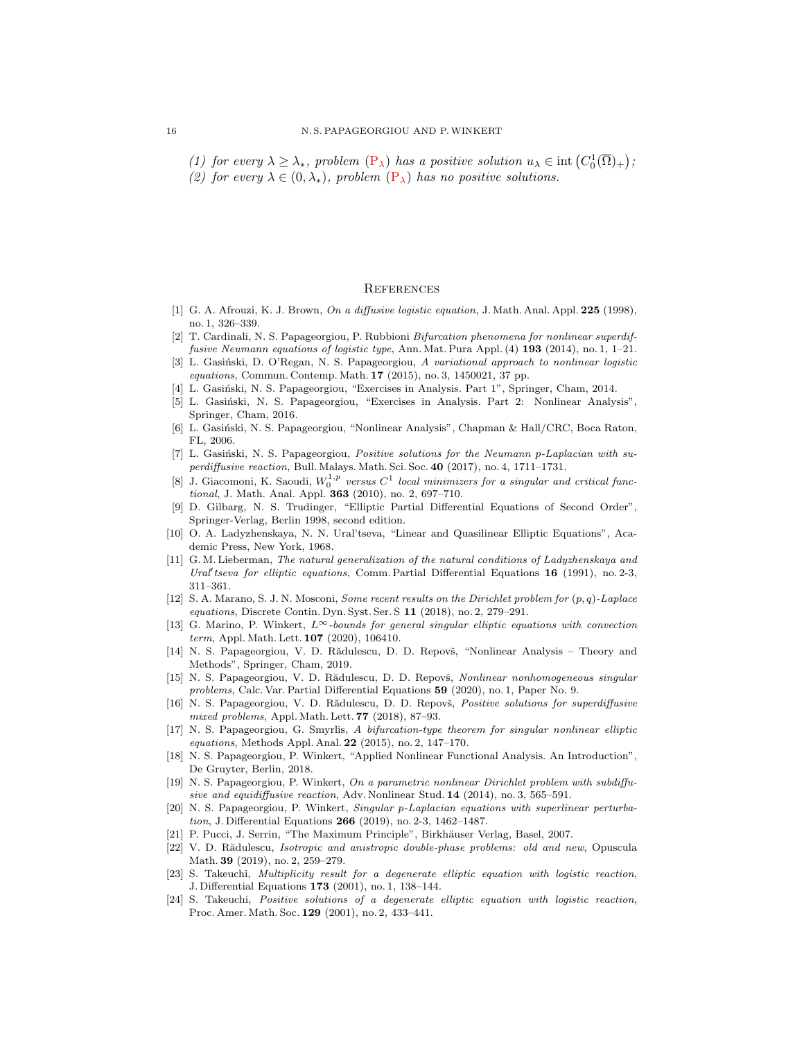(1) for every  $\lambda \geq \lambda_*$ , problem  $(P_{\lambda})$  $(P_{\lambda})$  has a positive solution  $u_{\lambda} \in \text{int}(C_0^1(\overline{\Omega})_+)$ ;

(2) for every  $\lambda \in (0, \lambda_*)$ , problem  $(P_{\lambda})$  $(P_{\lambda})$  has no positive solutions.

#### **REFERENCES**

- <span id="page-15-0"></span>[1] G. A. Afrouzi, K. J. Brown, On a diffusive logistic equation, J. Math. Anal. Appl. 225 (1998), no. 1, 326–339.
- <span id="page-15-4"></span>[2] T. Cardinali, N. S. Papageorgiou, P. Rubbioni Bifurcation phenomena for nonlinear superdiffusive Neumann equations of logistic type, Ann. Mat. Pura Appl. (4) 193 (2014), no. 1, 1–21.
- <span id="page-15-3"></span>[3] L. Gasiński, D. O'Regan, N. S. Papageorgiou, A variational approach to nonlinear logistic equations, Commun. Contemp. Math. 17 (2015), no. 3, 1450021, 37 pp.
- <span id="page-15-16"></span>L. Gasiński, N. S. Papageorgiou, "Exercises in Analysis. Part 1", Springer, Cham, 2014.
- <span id="page-15-12"></span>[5] L. Gasiński, N. S. Papageorgiou, "Exercises in Analysis. Part 2: Nonlinear Analysis". Springer, Cham, 2016.
- <span id="page-15-14"></span>[6] L. Gasiński, N. S. Papageorgiou, "Nonlinear Analysis", Chapman & Hall/CRC, Boca Raton, FL, 2006.
- <span id="page-15-5"></span>[7] L. Gasiński, N. S. Papageorgiou, Positive solutions for the Neumann p-Laplacian with superdiffusive reaction, Bull. Malays. Math. Sci. Soc. 40 (2017), no. 4, 1711–1731.
- <span id="page-15-22"></span>[8] J. Giacomoni, K. Saoudi,  $W_0^{1,p}$  versus  $C^1$  local minimizers for a singular and critical functional, J. Math. Anal. Appl. 363 (2010), no. 2, 697-710.
- <span id="page-15-20"></span>[9] D. Gilbarg, N. S. Trudinger, "Elliptic Partial Differential Equations of Second Order", Springer-Verlag, Berlin 1998, second edition.
- <span id="page-15-17"></span>[10] O. A. Ladyzhenskaya, N. N. Ural'tseva, "Linear and Quasilinear Elliptic Equations", Academic Press, New York, 1968.
- <span id="page-15-18"></span>[11] G. M. Lieberman, The natural generalization of the natural conditions of Ladyzhenskaya and Ural' tseva for elliptic equations, Comm. Partial Differential Equations  $16$  (1991), no. 2-3, 311–361.
- <span id="page-15-10"></span>[12] S. A. Marano, S. J. N. Mosconi, Some recent results on the Dirichlet problem for (p, q)-Laplace equations, Discrete Contin. Dyn. Syst. Ser. S 11 (2018), no. 2, 279–291.
- <span id="page-15-21"></span>[13] G. Marino, P. Winkert,  $L^{\infty}$ -bounds for general singular elliptic equations with convection term, Appl. Math. Lett. 107 (2020), 106410.
- <span id="page-15-15"></span>[14] N. S. Papageorgiou, V. D. Rădulescu, D. D. Repovš, "Nonlinear Analysis – Theory and Methods", Springer, Cham, 2019.
- <span id="page-15-9"></span>[15] N. S. Papageorgiou, V. D. Rădulescu, D. D. Repovš, Nonlinear nonhomogeneous singular problems, Calc. Var. Partial Differential Equations 59 (2020), no. 1, Paper No. 9.
- <span id="page-15-6"></span>[16] N. S. Papageorgiou, V. D. Rădulescu, D. D. Repovš, Positive solutions for superdiffusive mixed problems, Appl. Math. Lett. 77 (2018), 87–93.
- <span id="page-15-23"></span>[17] N. S. Papageorgiou, G. Smyrlis, A bifurcation-type theorem for singular nonlinear elliptic equations, Methods Appl. Anal. 22 (2015), no. 2, 147–170.
- <span id="page-15-13"></span>[18] N. S. Papageorgiou, P. Winkert, "Applied Nonlinear Functional Analysis. An Introduction", De Gruyter, Berlin, 2018.
- <span id="page-15-7"></span>[19] N. S. Papageorgiou, P. Winkert, On a parametric nonlinear Dirichlet problem with subdiffusive and equidiffusive reaction, Adv. Nonlinear Stud. 14 (2014), no. 3, 565-591.
- <span id="page-15-8"></span>[20] N. S. Papageorgiou, P. Winkert, Singular p-Laplacian equations with superlinear perturbation, J. Differential Equations 266 (2019), no. 2-3, 1462–1487.
- <span id="page-15-19"></span>[21] P. Pucci, J. Serrin, "The Maximum Principle", Birkhäuser Verlag, Basel, 2007.
- <span id="page-15-11"></span>[22] V. D. Rădulescu, *Isotropic and anistropic double-phase problems: old and new*, Opuscula Math. 39 (2019), no. 2, 259–279.
- <span id="page-15-2"></span>[23] S. Takeuchi, Multiplicity result for a degenerate elliptic equation with logistic reaction, J. Differential Equations 173 (2001), no. 1, 138–144.
- <span id="page-15-1"></span>[24] S. Takeuchi, Positive solutions of a degenerate elliptic equation with logistic reaction, Proc. Amer. Math. Soc. 129 (2001), no. 2, 433–441.